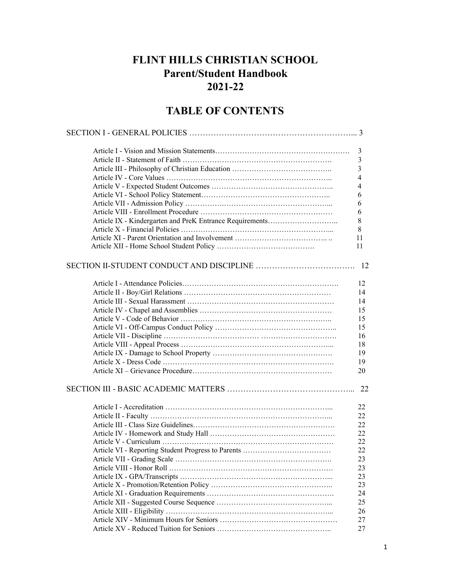# **FLINT HILLS CHRISTIAN SCHOOL Parent/Student Handbook 2021-22**

# **TABLE OF CONTENTS**

| 3              |
|----------------|
| $\mathfrak{Z}$ |
| $\mathfrak{Z}$ |
| $\overline{4}$ |
| $\overline{4}$ |
| 6              |
| 6              |
| 6              |
| 8              |
| 8              |
| 11             |
| 11             |
|                |
| 12             |
|                |
| 12             |
| 14             |
| 14             |
| 15             |
| 15             |
| 15             |
| 16             |
| 18             |
| 19             |
| 19             |
| 20             |
|                |
|                |
| 22             |
| 22             |
| 22             |
| 22             |
| 22             |
| 22             |
|                |
| 23             |
| 23             |
| 23             |
| 23             |
| 24             |
| 25             |
| 26             |
| 27             |
| 27             |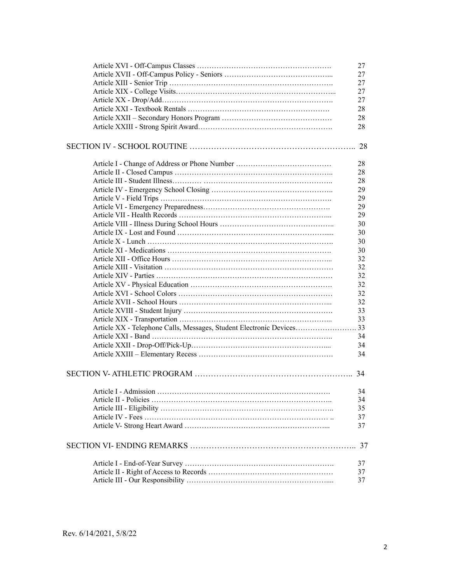|                       | 27 |
|-----------------------|----|
|                       | 27 |
|                       | 27 |
|                       | 27 |
|                       | 27 |
|                       | 28 |
|                       | 28 |
|                       | 28 |
|                       |    |
|                       | 28 |
|                       | 28 |
|                       | 28 |
|                       | 28 |
|                       | 29 |
|                       | 29 |
|                       | 29 |
|                       | 29 |
|                       | 30 |
|                       |    |
|                       | 30 |
|                       | 30 |
|                       | 30 |
|                       | 32 |
|                       | 32 |
|                       | 32 |
|                       | 32 |
|                       | 32 |
|                       | 32 |
|                       | 33 |
|                       | 33 |
|                       |    |
|                       | 34 |
|                       | 34 |
|                       | 34 |
|                       | 34 |
| Article I - Admission | 34 |
|                       | 34 |
|                       | 35 |
|                       | 37 |
|                       | 37 |
|                       |    |
|                       | 37 |
|                       | 37 |
|                       | 37 |
|                       | 37 |
|                       |    |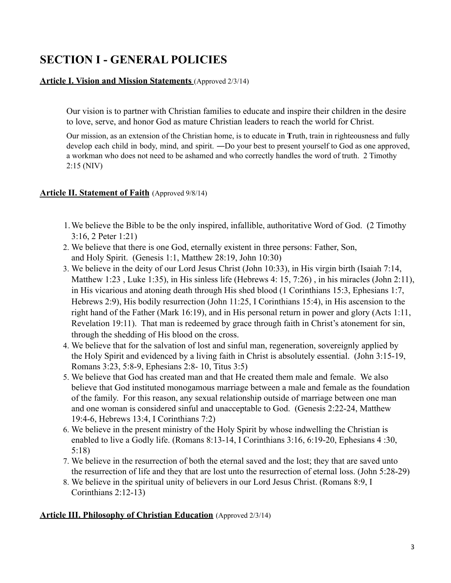# **SECTION I - GENERAL POLICIES**

## **Article I. Vision and Mission Statements** (Approved 2/3/14)

Our vision is to partner with Christian families to educate and inspire their children in the desire to love, serve, and honor God as mature Christian leaders to reach the world for Christ.

Our mission, as an extension of the Christian home, is to educate in **T**ruth, train in righteousness and fully develop each child in body, mind, and spirit. ―Do your best to present yourself to God as one approved, a workman who does not need to be ashamed and who correctly handles the word of truth. 2 Timothy 2:15 (NIV)

### **Article II. Statement of Faith** (Approved 9/8/14)

- 1.We believe the Bible to be the only inspired, infallible, authoritative Word of God. (2 Timothy 3:16, 2 Peter 1:21)
- 2. We believe that there is one God, eternally existent in three persons: Father, Son, and Holy Spirit. (Genesis 1:1, Matthew 28:19, John 10:30)
- 3. We believe in the deity of our Lord Jesus Christ (John 10:33), in His virgin birth (Isaiah 7:14, Matthew 1:23, Luke 1:35), in His sinless life (Hebrews 4: 15, 7:26), in his miracles (John 2:11), in His vicarious and atoning death through His shed blood (1 Corinthians 15:3, Ephesians 1:7, Hebrews 2:9), His bodily resurrection (John 11:25, I Corinthians 15:4), in His ascension to the right hand of the Father (Mark 16:19), and in His personal return in power and glory (Acts 1:11, Revelation 19:11). That man is redeemed by grace through faith in Christ's atonement for sin, through the shedding of His blood on the cross.
- 4. We believe that for the salvation of lost and sinful man, regeneration, sovereignly applied by the Holy Spirit and evidenced by a living faith in Christ is absolutely essential. (John 3:15-19, Romans 3:23, 5:8-9, Ephesians 2:8- 10, Titus 3:5)
- 5. We believe that God has created man and that He created them male and female. We also believe that God instituted monogamous marriage between a male and female as the foundation of the family. For this reason, any sexual relationship outside of marriage between one man and one woman is considered sinful and unacceptable to God. (Genesis 2:22-24, Matthew 19:4-6, Hebrews 13:4, I Corinthians 7:2)
- 6. We believe in the present ministry of the Holy Spirit by whose indwelling the Christian is enabled to live a Godly life. (Romans 8:13-14, I Corinthians 3:16, 6:19-20, Ephesians 4 :30, 5:18)
- 7. We believe in the resurrection of both the eternal saved and the lost; they that are saved unto the resurrection of life and they that are lost unto the resurrection of eternal loss. (John 5:28-29)
- 8. We believe in the spiritual unity of believers in our Lord Jesus Christ. (Romans 8:9, I Corinthians 2:12-13)

### **Article III. Philosophy of Christian Education** (Approved 2/3/14)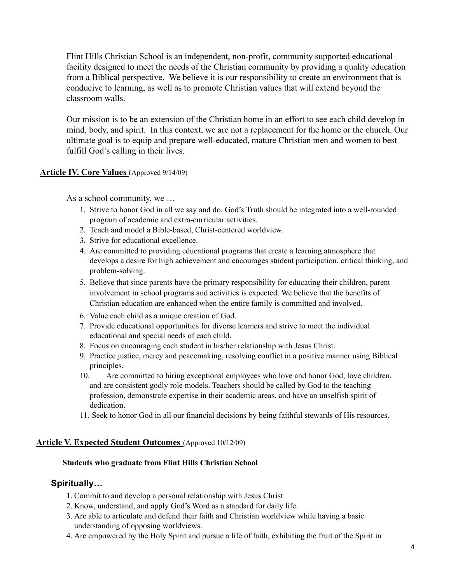Flint Hills Christian School is an independent, non-profit, community supported educational facility designed to meet the needs of the Christian community by providing a quality education from a Biblical perspective. We believe it is our responsibility to create an environment that is conducive to learning, as well as to promote Christian values that will extend beyond the classroom walls.

Our mission is to be an extension of the Christian home in an effort to see each child develop in mind, body, and spirit. In this context, we are not a replacement for the home or the church. Our ultimate goal is to equip and prepare well-educated, mature Christian men and women to best fulfill God's calling in their lives.

#### **Article IV. Core Values** (Approved 9/14/09)

As a school community, we …

- 1. Strive to honor God in all we say and do. God's Truth should be integrated into a well-rounded program of academic and extra-curricular activities.
- 2. Teach and model a Bible-based, Christ-centered worldview.
- 3. Strive for educational excellence.
- 4. Are committed to providing educational programs that create a learning atmosphere that develops a desire for high achievement and encourages student participation, critical thinking, and problem-solving.
- 5. Believe that since parents have the primary responsibility for educating their children, parent involvement in school programs and activities is expected. We believe that the benefits of Christian education are enhanced when the entire family is committed and involved.
- 6. Value each child as a unique creation of God.
- 7. Provide educational opportunities for diverse learners and strive to meet the individual educational and special needs of each child.
- 8. Focus on encouraging each student in his/her relationship with Jesus Christ.
- 9. Practice justice, mercy and peacemaking, resolving conflict in a positive manner using Biblical principles.
- 10. Are committed to hiring exceptional employees who love and honor God, love children, and are consistent godly role models. Teachers should be called by God to the teaching profession, demonstrate expertise in their academic areas, and have an unselfish spirit of dedication.
- 11. Seek to honor God in all our financial decisions by being faithful stewards of His resources.

#### **Article V. Expected Student Outcomes** (Approved 10/12/09)

#### **Students who graduate from Flint Hills Christian School**

#### **Spiritually…**

- 1. Commit to and develop a personal relationship with Jesus Christ.
- 2. Know, understand, and apply God's Word as a standard for daily life.
- 3. Are able to articulate and defend their faith and Christian worldview while having a basic understanding of opposing worldviews.
- 4. Are empowered by the Holy Spirit and pursue a life of faith, exhibiting the fruit of the Spirit in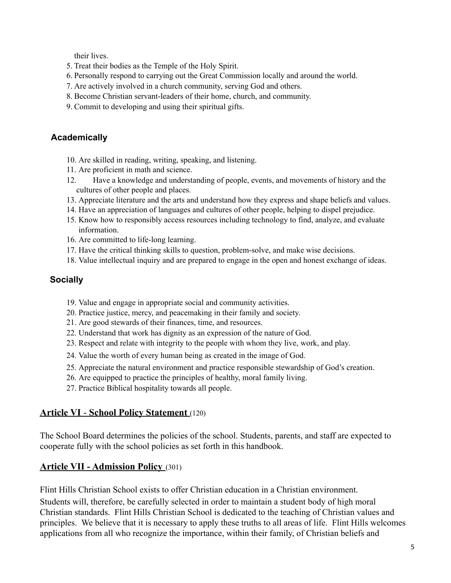their lives.

- 5. Treat their bodies as the Temple of the Holy Spirit.
- 6. Personally respond to carrying out the Great Commission locally and around the world.
- 7. Are actively involved in a church community, serving God and others.
- 8. Become Christian servant-leaders of their home, church, and community.
- 9. Commit to developing and using their spiritual gifts.

## **Academically**

- 10. Are skilled in reading, writing, speaking, and listening.
- 11. Are proficient in math and science.
- 12. Have a knowledge and understanding of people, events, and movements of history and the cultures of other people and places.
- 13. Appreciate literature and the arts and understand how they express and shape beliefs and values.
- 14. Have an appreciation of languages and cultures of other people, helping to dispel prejudice.
- 15. Know how to responsibly access resources including technology to find, analyze, and evaluate information.
- 16. Are committed to life-long learning.
- 17. Have the critical thinking skills to question, problem-solve, and make wise decisions.
- 18. Value intellectual inquiry and are prepared to engage in the open and honest exchange of ideas.

## **Socially**

- 19. Value and engage in appropriate social and community activities.
- 20. Practice justice, mercy, and peacemaking in their family and society.
- 21. Are good stewards of their finances, time, and resources.
- 22. Understand that work has dignity as an expression of the nature of God.
- 23. Respect and relate with integrity to the people with whom they live, work, and play.
- 24. Value the worth of every human being as created in the image of God.
- 25. Appreciate the natural environment and practice responsible stewardship of God's creation.
- 26. Are equipped to practice the principles of healthy, moral family living.
- 27. Practice Biblical hospitality towards all people.

## **Article VI** - **School Policy Statement** (120)

The School Board determines the policies of the school. Students, parents, and staff are expected to cooperate fully with the school policies as set forth in this handbook.

## **Article VII - Admission Policy** (301)

Flint Hills Christian School exists to offer Christian education in a Christian environment. Students will, therefore, be carefully selected in order to maintain a student body of high moral Christian standards. Flint Hills Christian School is dedicated to the teaching of Christian values and principles. We believe that it is necessary to apply these truths to all areas of life. Flint Hills welcomes applications from all who recognize the importance, within their family, of Christian beliefs and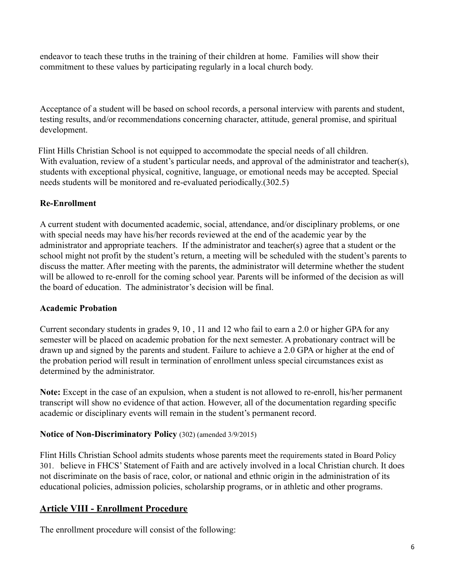endeavor to teach these truths in the training of their children at home. Families will show their commitment to these values by participating regularly in a local church body.

Acceptance of a student will be based on school records, a personal interview with parents and student, testing results, and/or recommendations concerning character, attitude, general promise, and spiritual development.

Flint Hills Christian School is not equipped to accommodate the special needs of all children. With evaluation, review of a student's particular needs, and approval of the administrator and teacher(s), students with exceptional physical, cognitive, language, or emotional needs may be accepted. Special needs students will be monitored and re-evaluated periodically.(302.5)

## **Re-Enrollment**

A current student with documented academic, social, attendance, and/or disciplinary problems, or one with special needs may have his/her records reviewed at the end of the academic year by the administrator and appropriate teachers. If the administrator and teacher(s) agree that a student or the school might not profit by the student's return, a meeting will be scheduled with the student's parents to discuss the matter. After meeting with the parents, the administrator will determine whether the student will be allowed to re-enroll for the coming school year. Parents will be informed of the decision as will the board of education. The administrator's decision will be final.

### **Academic Probation**

Current secondary students in grades 9, 10 , 11 and 12 who fail to earn a 2.0 or higher GPA for any semester will be placed on academic probation for the next semester. A probationary contract will be drawn up and signed by the parents and student. Failure to achieve a 2.0 GPA or higher at the end of the probation period will result in termination of enrollment unless special circumstances exist as determined by the administrator.

**Note:** Except in the case of an expulsion, when a student is not allowed to re-enroll, his/her permanent transcript will show no evidence of that action. However, all of the documentation regarding specific academic or disciplinary events will remain in the student's permanent record.

## **Notice of Non-Discriminatory Policy** (302) (amended 3/9/2015)

Flint Hills Christian School admits students whose parents meet the requirements stated in Board Policy 301. believe in FHCS' Statement of Faith and are actively involved in a local Christian church. It does not discriminate on the basis of race, color, or national and ethnic origin in the administration of its educational policies, admission policies, scholarship programs, or in athletic and other programs.

## **Article VIII - Enrollment Procedure**

The enrollment procedure will consist of the following: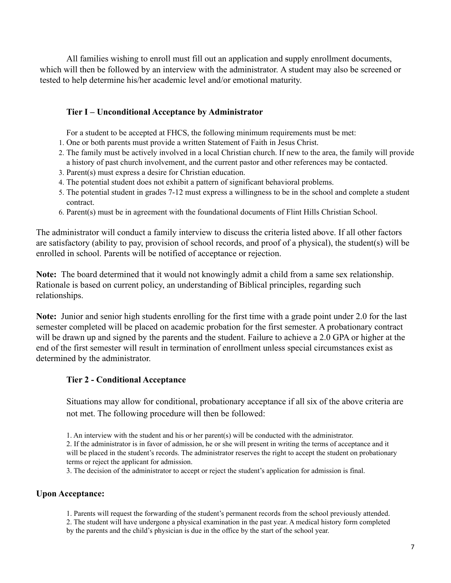All families wishing to enroll must fill out an application and supply enrollment documents, which will then be followed by an interview with the administrator. A student may also be screened or tested to help determine his/her academic level and/or emotional maturity.

### **Tier I – Unconditional Acceptance by Administrator**

For a student to be accepted at FHCS, the following minimum requirements must be met:

- 1. One or both parents must provide a written Statement of Faith in Jesus Christ.
- 2. The family must be actively involved in a local Christian church. If new to the area, the family will provide a history of past church involvement, and the current pastor and other references may be contacted.
- 3. Parent(s) must express a desire for Christian education.
- 4. The potential student does not exhibit a pattern of significant behavioral problems.
- 5. The potential student in grades 7-12 must express a willingness to be in the school and complete a student contract.
- 6. Parent(s) must be in agreement with the foundational documents of Flint Hills Christian School.

The administrator will conduct a family interview to discuss the criteria listed above. If all other factors are satisfactory (ability to pay, provision of school records, and proof of a physical), the student(s) will be enrolled in school. Parents will be notified of acceptance or rejection.

**Note:** The board determined that it would not knowingly admit a child from a same sex relationship. Rationale is based on current policy, an understanding of Biblical principles, regarding such relationships.

**Note:** Junior and senior high students enrolling for the first time with a grade point under 2.0 for the last semester completed will be placed on academic probation for the first semester. A probationary contract will be drawn up and signed by the parents and the student. Failure to achieve a 2.0 GPA or higher at the end of the first semester will result in termination of enrollment unless special circumstances exist as determined by the administrator.

#### **Tier 2 - Conditional Acceptance**

Situations may allow for conditional, probationary acceptance if all six of the above criteria are not met. The following procedure will then be followed:

1. An interview with the student and his or her parent(s) will be conducted with the administrator. 2. If the administrator is in favor of admission, he or she will present in writing the terms of acceptance and it will be placed in the student's records. The administrator reserves the right to accept the student on probationary terms or reject the applicant for admission.

3. The decision of the administrator to accept or reject the student's application for admission is final.

#### **Upon Acceptance:**

1. Parents will request the forwarding of the student's permanent records from the school previously attended.

2. The student will have undergone a physical examination in the past year. A medical history form completed by the parents and the child's physician is due in the office by the start of the school year.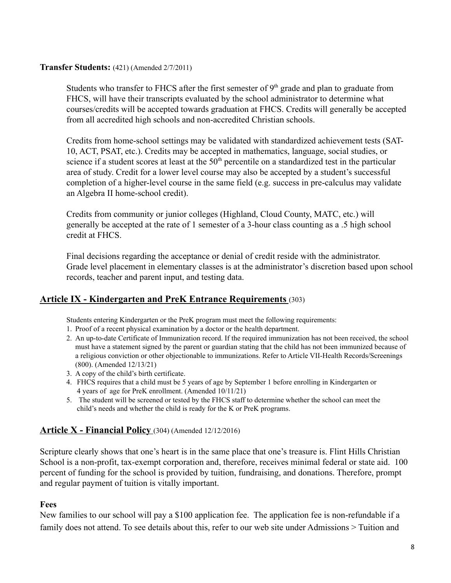#### **Transfer Students:** (421) (Amended 2/7/2011)

Students who transfer to FHCS after the first semester of  $9<sup>th</sup>$  grade and plan to graduate from FHCS, will have their transcripts evaluated by the school administrator to determine what courses/credits will be accepted towards graduation at FHCS. Credits will generally be accepted from all accredited high schools and non-accredited Christian schools.

Credits from home-school settings may be validated with standardized achievement tests (SAT-10, ACT, PSAT, etc.). Credits may be accepted in mathematics, language, social studies, or science if a student scores at least at the  $50<sup>th</sup>$  percentile on a standardized test in the particular area of study. Credit for a lower level course may also be accepted by a student's successful completion of a higher-level course in the same field (e.g. success in pre-calculus may validate an Algebra II home-school credit).

Credits from community or junior colleges (Highland, Cloud County, MATC, etc.) will generally be accepted at the rate of 1 semester of a 3-hour class counting as a .5 high school credit at FHCS.

Final decisions regarding the acceptance or denial of credit reside with the administrator. Grade level placement in elementary classes is at the administrator's discretion based upon school records, teacher and parent input, and testing data.

## **Article IX - Kindergarten and PreK Entrance Requirements** (303)

Students entering Kindergarten or the PreK program must meet the following requirements:

- 1. Proof of a recent physical examination by a doctor or the health department.
- 2. An up-to-date Certificate of Immunization record. If the required immunization has not been received, the school must have a statement signed by the parent or guardian stating that the child has not been immunized because of a religious conviction or other objectionable to immunizations. Refer to Article VII-Health Records/Screenings (800). (Amended 12/13/21)
- 3. A copy of the child's birth certificate.
- 4. FHCS requires that a child must be 5 years of age by September 1 before enrolling in Kindergarten or 4 years of age for PreK enrollment. (Amended 10/11/21)
- 5. The student will be screened or tested by the FHCS staff to determine whether the school can meet the child's needs and whether the child is ready for the K or PreK programs.

## **Article X - Financial Policy** (304) (Amended 12/12/2016)

Scripture clearly shows that one's heart is in the same place that one's treasure is. Flint Hills Christian School is a non-profit, tax-exempt corporation and, therefore, receives minimal federal or state aid. 100 percent of funding for the school is provided by tuition, fundraising, and donations. Therefore, prompt and regular payment of tuition is vitally important.

### **Fees**

New families to our school will pay a \$100 application fee. The application fee is non-refundable if a family does not attend. To see details about this, refer to our web site under Admissions > Tuition and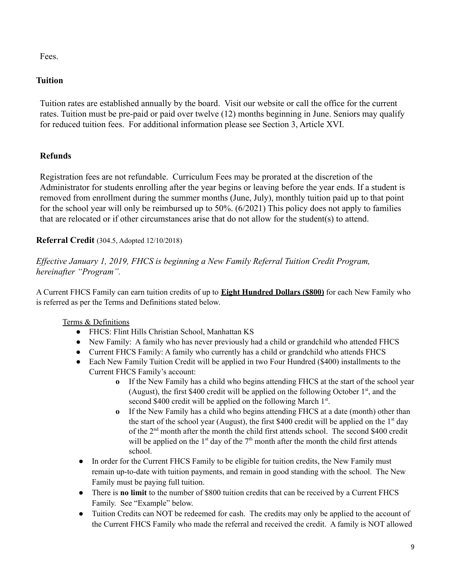Fees.

## **Tuition**

Tuition rates are established annually by the board. Visit our website or call the office for the current rates. Tuition must be pre-paid or paid over twelve (12) months beginning in June. Seniors may qualify for reduced tuition fees. For additional information please see Section 3, Article XVI.

## **Refunds**

Registration fees are not refundable. Curriculum Fees may be prorated at the discretion of the Administrator for students enrolling after the year begins or leaving before the year ends. If a student is removed from enrollment during the summer months (June, July), monthly tuition paid up to that point for the school year will only be reimbursed up to 50%. (6/2021) This policy does not apply to families that are relocated or if other circumstances arise that do not allow for the student(s) to attend.

## **Referral Credit** (304.5, Adopted 12/10/2018)

*Effective January 1, 2019, FHCS is beginning a New Family Referral Tuition Credit Program, hereinafter "Program".*

A Current FHCS Family can earn tuition credits of up to **Eight Hundred Dollars (\$800)** for each New Family who is referred as per the Terms and Definitions stated below.

### Terms & Definitions

- **●** FHCS: Flint Hills Christian School, Manhattan KS
- **●** New Family: A family who has never previously had a child or grandchild who attended FHCS
- **●** Current FHCS Family: A family who currently has a child or grandchild who attends FHCS
- **●** Each New Family Tuition Credit will be applied in two Four Hundred (\$400) installments to the Current FHCS Family's account:
	- **o** If the New Family has a child who begins attending FHCS at the start of the school year (August), the first \$400 credit will be applied on the following October  $1<sup>st</sup>$ , and the second \$400 credit will be applied on the following March 1<sup>st</sup>.
	- **o** If the New Family has a child who begins attending FHCS at a date (month) other than the start of the school year (August), the first \$400 credit will be applied on the 1<sup>st</sup> day of the 2<sup>nd</sup> month after the month the child first attends school. The second \$400 credit will be applied on the  $1<sup>st</sup>$  day of the  $7<sup>th</sup>$  month after the month the child first attends school.
- In order for the Current FHCS Family to be eligible for tuition credits, the New Family must remain up-to-date with tuition payments, and remain in good standing with the school. The New Family must be paying full tuition.
- There is **no limit** to the number of \$800 tuition credits that can be received by a Current FHCS Family. See "Example" below.
- Tuition Credits can NOT be redeemed for cash. The credits may only be applied to the account of the Current FHCS Family who made the referral and received the credit. A family is NOT allowed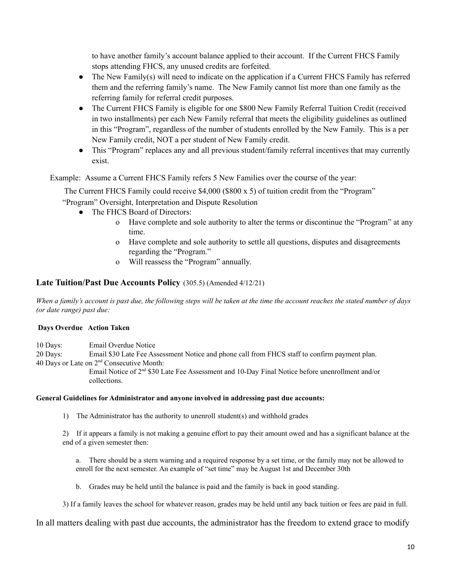to have another family's account balance applied to their account. If the Current FHCS Family stops attending FHCS, any unused credits are forfeited.

- The New Family(s) will need to indicate on the application if a Current FHCS Family has referred them and the referring family's name. The New Family cannot list more than one family as the referring family for referral credit purposes.
- The Current FHCS Family is eligible for one \$800 New Family Referral Tuition Credit (received in two installments) per each New Family referral that meets the eligibility guidelines as outlined in this "Program", regardless of the number of students enrolled by the New Family. This is a per New Family credit, NOT a per student of New Family credit.
- This "Program" replaces any and all previous student/family referral incentives that may currently exist.

Example: Assume a Current FHCS Family refers 5 New Families over the course of the year:

The Current FHCS Family could receive \$4,000 (\$800 x 5) of tuition credit from the "Program"

"Program" Oversight, Interpretation and Dispute Resolution

- The FHCS Board of Directors:
	- o Have complete and sole authority to alter the terms or discontinue the "Program" at any time.
	- o Have complete and sole authority to settle all questions, disputes and disagreements regarding the "Program."
	- o Will reassess the "Program" annually.

#### **Late Tuition/Past Due Accounts Policy** (305.5) (Amended 4/12/21)

When a family's account is past due, the following steps will be taken at the time the account reaches the stated number of days *(or date range) past due:*

#### **Days Overdue Action Taken**

10 Days: Email Overdue Notice

20 Days: Email \$30 Late Fee Assessment Notice and phone call from FHCS staff to confirm payment plan.

40 Days or Late on 2<sup>nd</sup> Consecutive Month:

Email Notice of  $2<sup>nd</sup>$  \$30 Late Fee Assessment and 10-Day Final Notice before unenrollment and/or collections.

#### **General Guidelines for Administrator and anyone involved in addressing past due accounts:**

1) The Administrator has the authority to unenroll student(s) and withhold grades

2) If it appears a family is not making a genuine effort to pay their amount owed and has a significant balance at the end of a given semester then:

a. There should be a stern warning and a required response by a set time, or the family may not be allowed to enroll for the next semester. An example of "set time" may be August 1st and December 30th

b. Grades may be held until the balance is paid and the family is back in good standing.

3) If a family leaves the school for whatever reason, grades may be held until any back tuition or fees are paid in full.

In all matters dealing with past due accounts, the administrator has the freedom to extend grace to modify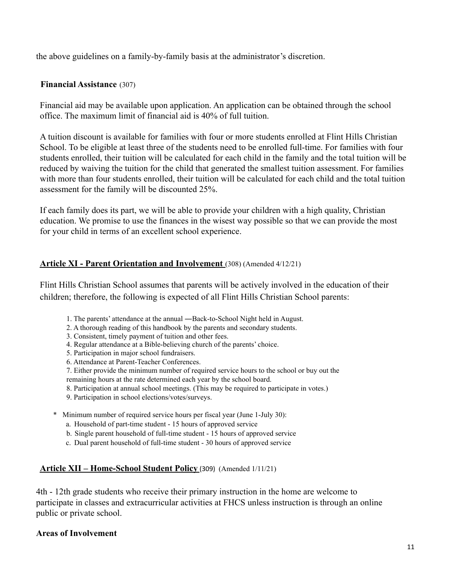the above guidelines on a family-by-family basis at the administrator's discretion.

## **Financial Assistance** (307)

Financial aid may be available upon application. An application can be obtained through the school office. The maximum limit of financial aid is 40% of full tuition.

A tuition discount is available for families with four or more students enrolled at Flint Hills Christian School. To be eligible at least three of the students need to be enrolled full-time. For families with four students enrolled, their tuition will be calculated for each child in the family and the total tuition will be reduced by waiving the tuition for the child that generated the smallest tuition assessment. For families with more than four students enrolled, their tuition will be calculated for each child and the total tuition assessment for the family will be discounted 25%.

If each family does its part, we will be able to provide your children with a high quality, Christian education. We promise to use the finances in the wisest way possible so that we can provide the most for your child in terms of an excellent school experience.

### **Article XI - Parent Orientation and Involvement** (308) (Amended 4/12/21)

Flint Hills Christian School assumes that parents will be actively involved in the education of their children; therefore, the following is expected of all Flint Hills Christian School parents:

- 1. The parents' attendance at the annual ―Back-to-School Night held in August.
- 2. A thorough reading of this handbook by the parents and secondary students.
- 3. Consistent, timely payment of tuition and other fees.
- 4. Regular attendance at a Bible-believing church of the parents' choice.
- 5. Participation in major school fundraisers.
- 6. Attendance at Parent-Teacher Conferences.
- 7. Either provide the minimum number of required service hours to the school or buy out the remaining hours at the rate determined each year by the school board.
- 8. Participation at annual school meetings. (This may be required to participate in votes.)
- 9. Participation in school elections/votes/surveys.
- \* Minimum number of required service hours per fiscal year (June 1-July 30):
	- a. Household of part-time student 15 hours of approved service
	- b. Single parent household of full-time student 15 hours of approved service
	- c. Dual parent household of full-time student 30 hours of approved service

### **Article XII – Home-School Student Policy** (309) (Amended 1/11/21)

4th - 12th grade students who receive their primary instruction in the home are welcome to participate in classes and extracurricular activities at FHCS unless instruction is through an online public or private school.

### **Areas of Involvement**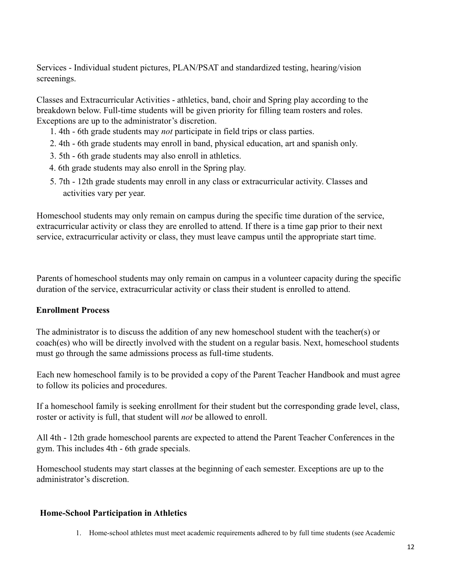Services - Individual student pictures, PLAN/PSAT and standardized testing, hearing/vision screenings.

Classes and Extracurricular Activities - athletics, band, choir and Spring play according to the breakdown below. Full-time students will be given priority for filling team rosters and roles. Exceptions are up to the administrator's discretion.

- 1. 4th 6th grade students may *not* participate in field trips or class parties.
- 2. 4th 6th grade students may enroll in band, physical education, art and spanish only.
- 3. 5th 6th grade students may also enroll in athletics.
- 4. 6th grade students may also enroll in the Spring play.
- 5. 7th 12th grade students may enroll in any class or extracurricular activity. Classes and activities vary per year.

Homeschool students may only remain on campus during the specific time duration of the service, extracurricular activity or class they are enrolled to attend. If there is a time gap prior to their next service, extracurricular activity or class, they must leave campus until the appropriate start time.

Parents of homeschool students may only remain on campus in a volunteer capacity during the specific duration of the service, extracurricular activity or class their student is enrolled to attend.

### **Enrollment Process**

The administrator is to discuss the addition of any new homeschool student with the teacher(s) or coach(es) who will be directly involved with the student on a regular basis. Next, homeschool students must go through the same admissions process as full-time students.

Each new homeschool family is to be provided a copy of the Parent Teacher Handbook and must agree to follow its policies and procedures.

If a homeschool family is seeking enrollment for their student but the corresponding grade level, class, roster or activity is full, that student will *not* be allowed to enroll.

All 4th - 12th grade homeschool parents are expected to attend the Parent Teacher Conferences in the gym. This includes 4th - 6th grade specials.

Homeschool students may start classes at the beginning of each semester. Exceptions are up to the administrator's discretion.

#### **Home-School Participation in Athletics**

1. Home-school athletes must meet academic requirements adhered to by full time students (see Academic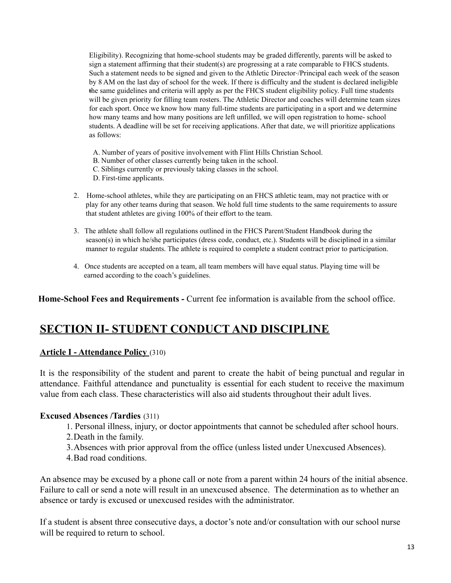Eligibility). Recognizing that home-school students may be graded differently, parents will be asked to sign a statement affirming that their student(s) are progressing at a rate comparable to FHCS students. Such a statement needs to be signed and given to the Athletic Director /Principal each week of the season by 8 AM on the last day of school for the week. If there is difficulty and the student is declared ineligible the same guidelines and criteria will apply as per the FHCS student eligibility policy. Full time students will be given priority for filling team rosters. The Athletic Director and coaches will determine team sizes for each sport. Once we know how many full-time students are participating in a sport and we determine how many teams and how many positions are left unfilled, we will open registration to home- school students. A deadline will be set for receiving applications. After that date, we will prioritize applications as follows:

- A. Number of years of positive involvement with Flint Hills Christian School.
- B. Number of other classes currently being taken in the school.
- C. Siblings currently or previously taking classes in the school.
- D. First-time applicants.
- 2. Home-school athletes, while they are participating on an FHCS athletic team, may not practice with or play for any other teams during that season. We hold full time students to the same requirements to assure that student athletes are giving 100% of their effort to the team.
- 3. The athlete shall follow all regulations outlined in the FHCS Parent/Student Handbook during the season(s) in which he/she participates (dress code, conduct, etc.). Students will be disciplined in a similar manner to regular students. The athlete is required to complete a student contract prior to participation.
- 4. Once students are accepted on a team, all team members will have equal status. Playing time will be earned according to the coach's guidelines.

**Home-School Fees and Requirements -** Current fee information is available from the school office.

# **SECTION II- STUDENT CONDUCT AND DISCIPLINE**

#### **Article I - Attendance Policy** (310)

It is the responsibility of the student and parent to create the habit of being punctual and regular in attendance. Faithful attendance and punctuality is essential for each student to receive the maximum value from each class. These characteristics will also aid students throughout their adult lives.

#### **Excused Absences /Tardies** (311)

- 1. Personal illness, injury, or doctor appointments that cannot be scheduled after school hours.
- 2.Death in the family.
- 3.Absences with prior approval from the office (unless listed under Unexcused Absences).
- 4.Bad road conditions.

An absence may be excused by a phone call or note from a parent within 24 hours of the initial absence. Failure to call or send a note will result in an unexcused absence. The determination as to whether an absence or tardy is excused or unexcused resides with the administrator.

If a student is absent three consecutive days, a doctor's note and/or consultation with our school nurse will be required to return to school.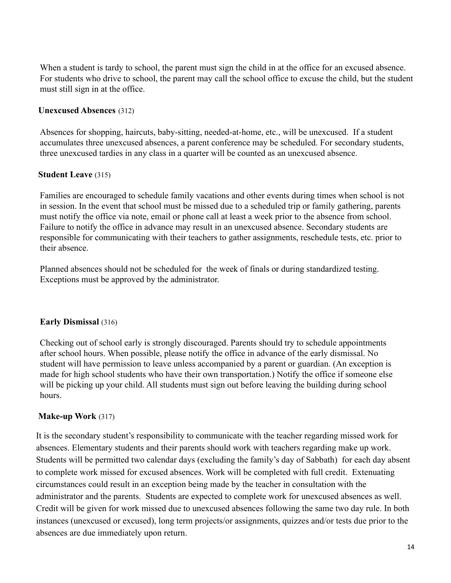When a student is tardy to school, the parent must sign the child in at the office for an excused absence. For students who drive to school, the parent may call the school office to excuse the child, but the student must still sign in at the office.

### **Unexcused Absences** (312)

Absences for shopping, haircuts, baby-sitting, needed-at-home, etc., will be unexcused. If a student accumulates three unexcused absences, a parent conference may be scheduled. For secondary students, three unexcused tardies in any class in a quarter will be counted as an unexcused absence.

## **Student Leave** (315)

Families are encouraged to schedule family vacations and other events during times when school is not in session. In the event that school must be missed due to a scheduled trip or family gathering, parents must notify the office via note, email or phone call at least a week prior to the absence from school. Failure to notify the office in advance may result in an unexcused absence. Secondary students are responsible for communicating with their teachers to gather assignments, reschedule tests, etc. prior to their absence.

Planned absences should not be scheduled for the week of finals or during standardized testing. Exceptions must be approved by the administrator.

### **Early Dismissal** (316)

Checking out of school early is strongly discouraged. Parents should try to schedule appointments after school hours. When possible, please notify the office in advance of the early dismissal. No student will have permission to leave unless accompanied by a parent or guardian. (An exception is made for high school students who have their own transportation.) Notify the office if someone else will be picking up your child. All students must sign out before leaving the building during school hours.

## **Make-up Work** (317)

It is the secondary student's responsibility to communicate with the teacher regarding missed work for absences. Elementary students and their parents should work with teachers regarding make up work. Students will be permitted two calendar days (excluding the family's day of Sabbath) for each day absent to complete work missed for excused absences. Work will be completed with full credit. Extenuating circumstances could result in an exception being made by the teacher in consultation with the administrator and the parents. Students are expected to complete work for unexcused absences as well. Credit will be given for work missed due to unexcused absences following the same two day rule. In both instances (unexcused or excused), long term projects/or assignments, quizzes and/or tests due prior to the absences are due immediately upon return.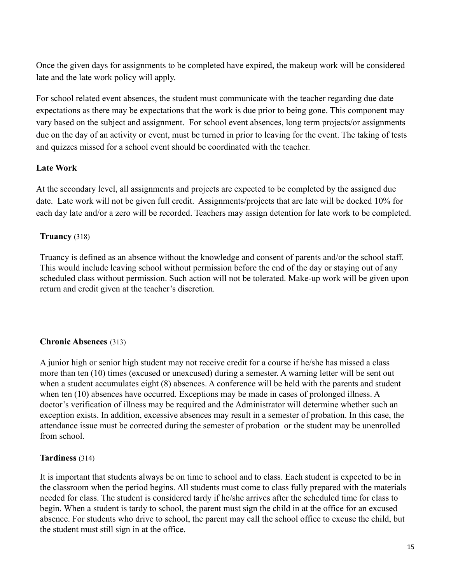Once the given days for assignments to be completed have expired, the makeup work will be considered late and the late work policy will apply.

For school related event absences, the student must communicate with the teacher regarding due date expectations as there may be expectations that the work is due prior to being gone. This component may vary based on the subject and assignment. For school event absences, long term projects/or assignments due on the day of an activity or event, must be turned in prior to leaving for the event. The taking of tests and quizzes missed for a school event should be coordinated with the teacher.

## **Late Work**

At the secondary level, all assignments and projects are expected to be completed by the assigned due date. Late work will not be given full credit. Assignments/projects that are late will be docked 10% for each day late and/or a zero will be recorded. Teachers may assign detention for late work to be completed.

## **Truancy** (318)

Truancy is defined as an absence without the knowledge and consent of parents and/or the school staff. This would include leaving school without permission before the end of the day or staying out of any scheduled class without permission. Such action will not be tolerated. Make-up work will be given upon return and credit given at the teacher's discretion.

## **Chronic Absences** (313)

A junior high or senior high student may not receive credit for a course if he/she has missed a class more than ten (10) times (excused or unexcused) during a semester. A warning letter will be sent out when a student accumulates eight (8) absences. A conference will be held with the parents and student when ten (10) absences have occurred. Exceptions may be made in cases of prolonged illness. A doctor's verification of illness may be required and the Administrator will determine whether such an exception exists. In addition, excessive absences may result in a semester of probation. In this case, the attendance issue must be corrected during the semester of probation or the student may be unenrolled from school.

### **Tardiness** (314)

It is important that students always be on time to school and to class. Each student is expected to be in the classroom when the period begins. All students must come to class fully prepared with the materials needed for class. The student is considered tardy if he/she arrives after the scheduled time for class to begin. When a student is tardy to school, the parent must sign the child in at the office for an excused absence. For students who drive to school, the parent may call the school office to excuse the child, but the student must still sign in at the office.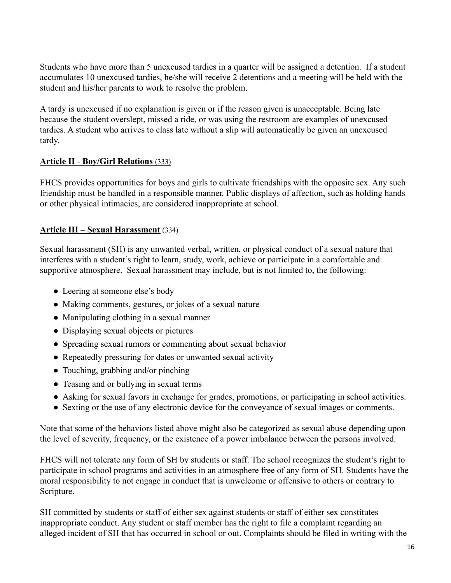Students who have more than 5 unexcused tardies in a quarter will be assigned a detention. If a student accumulates 10 unexcused tardies, he/she will receive 2 detentions and a meeting will be held with the student and his/her parents to work to resolve the problem.

A tardy is unexcused if no explanation is given or if the reason given is unacceptable. Being late because the student overslept, missed a ride, or was using the restroom are examples of unexcused tardies. A student who arrives to class late without a slip will automatically be given an unexcused tardy.

## **Article II** - **Boy/Girl Relations** (333)

FHCS provides opportunities for boys and girls to cultivate friendships with the opposite sex. Any such friendship must be handled in a responsible manner. Public displays of affection, such as holding hands or other physical intimacies, are considered inappropriate at school.

## **Article III – Sexual Harassment** (334)

Sexual harassment (SH) is any unwanted verbal, written, or physical conduct of a sexual nature that interferes with a student's right to learn, study, work, achieve or participate in a comfortable and supportive atmosphere. Sexual harassment may include, but is not limited to, the following:

- Leering at someone else's body
- Making comments, gestures, or jokes of a sexual nature
- Manipulating clothing in a sexual manner
- Displaying sexual objects or pictures
- Spreading sexual rumors or commenting about sexual behavior
- Repeatedly pressuring for dates or unwanted sexual activity
- Touching, grabbing and/or pinching
- Teasing and or bullying in sexual terms
- Asking for sexual favors in exchange for grades, promotions, or participating in school activities.
- Sexting or the use of any electronic device for the conveyance of sexual images or comments.

Note that some of the behaviors listed above might also be categorized as sexual abuse depending upon the level of severity, frequency, or the existence of a power imbalance between the persons involved.

FHCS will not tolerate any form of SH by students or staff. The school recognizes the student's right to participate in school programs and activities in an atmosphere free of any form of SH. Students have the moral responsibility to not engage in conduct that is unwelcome or offensive to others or contrary to Scripture.

SH committed by students or staff of either sex against students or staff of either sex constitutes inappropriate conduct. Any student or staff member has the right to file a complaint regarding an alleged incident of SH that has occurred in school or out. Complaints should be filed in writing with the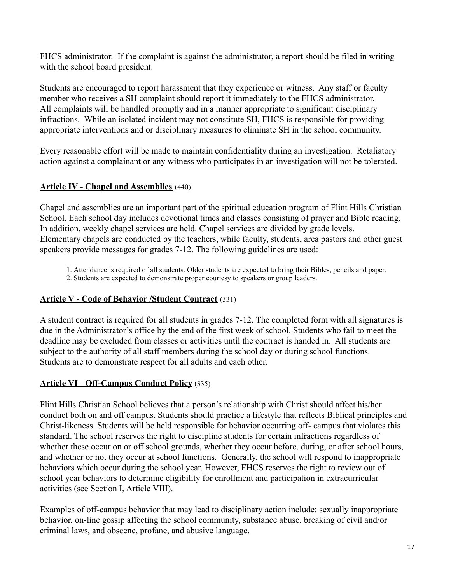FHCS administrator. If the complaint is against the administrator, a report should be filed in writing with the school board president.

Students are encouraged to report harassment that they experience or witness. Any staff or faculty member who receives a SH complaint should report it immediately to the FHCS administrator. All complaints will be handled promptly and in a manner appropriate to significant disciplinary infractions. While an isolated incident may not constitute SH, FHCS is responsible for providing appropriate interventions and or disciplinary measures to eliminate SH in the school community.

Every reasonable effort will be made to maintain confidentiality during an investigation. Retaliatory action against a complainant or any witness who participates in an investigation will not be tolerated.

## **Article IV - Chapel and Assemblies** (440)

Chapel and assemblies are an important part of the spiritual education program of Flint Hills Christian School. Each school day includes devotional times and classes consisting of prayer and Bible reading. In addition, weekly chapel services are held. Chapel services are divided by grade levels. Elementary chapels are conducted by the teachers, while faculty, students, area pastors and other guest speakers provide messages for grades 7-12. The following guidelines are used:

1. Attendance is required of all students. Older students are expected to bring their Bibles, pencils and paper.

2. Students are expected to demonstrate proper courtesy to speakers or group leaders.

## **Article V - Code of Behavior /Student Contract** (331)

A student contract is required for all students in grades 7-12. The completed form with all signatures is due in the Administrator's office by the end of the first week of school. Students who fail to meet the deadline may be excluded from classes or activities until the contract is handed in. All students are subject to the authority of all staff members during the school day or during school functions. Students are to demonstrate respect for all adults and each other.

## **Article VI** - **Off-Campus Conduct Policy** (335)

Flint Hills Christian School believes that a person's relationship with Christ should affect his/her conduct both on and off campus. Students should practice a lifestyle that reflects Biblical principles and Christ-likeness. Students will be held responsible for behavior occurring off- campus that violates this standard. The school reserves the right to discipline students for certain infractions regardless of whether these occur on or off school grounds, whether they occur before, during, or after school hours, and whether or not they occur at school functions. Generally, the school will respond to inappropriate behaviors which occur during the school year. However, FHCS reserves the right to review out of school year behaviors to determine eligibility for enrollment and participation in extracurricular activities (see Section I, Article VIII).

Examples of off-campus behavior that may lead to disciplinary action include: sexually inappropriate behavior, on-line gossip affecting the school community, substance abuse, breaking of civil and/or criminal laws, and obscene, profane, and abusive language.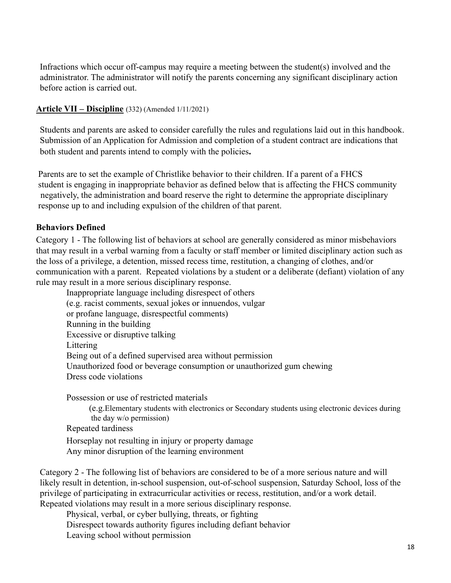Infractions which occur off-campus may require a meeting between the student(s) involved and the administrator. The administrator will notify the parents concerning any significant disciplinary action before action is carried out.

#### **Article VII – Discipline** (332) (Amended 1/11/2021)

Students and parents are asked to consider carefully the rules and regulations laid out in this handbook. Submission of an Application for Admission and completion of a student contract are indications that both student and parents intend to comply with the policies**.**

Parents are to set the example of Christlike behavior to their children. If a parent of a FHCS student is engaging in inappropriate behavior as defined below that is affecting the FHCS community negatively, the administration and board reserve the right to determine the appropriate disciplinary response up to and including expulsion of the children of that parent.

#### **Behaviors Defined**

Category 1 - The following list of behaviors at school are generally considered as minor misbehaviors that may result in a verbal warning from a faculty or staff member or limited disciplinary action such as the loss of a privilege, a detention, missed recess time, restitution, a changing of clothes, and/or communication with a parent. Repeated violations by a student or a deliberate (defiant) violation of any rule may result in a more serious disciplinary response.

Inappropriate language including disrespect of others (e.g. racist comments, sexual jokes or innuendos, vulgar or profane language, disrespectful comments) Running in the building Excessive or disruptive talking Littering Being out of a defined supervised area without permission Unauthorized food or beverage consumption or unauthorized gum chewing Dress code violations

Possession or use of restricted materials

(e.g.Elementary students with electronics or Secondary students using electronic devices during the day w/o permission)

Repeated tardiness

Horseplay not resulting in injury or property damage

Any minor disruption of the learning environment

Category 2 - The following list of behaviors are considered to be of a more serious nature and will likely result in detention, in-school suspension, out-of-school suspension, Saturday School, loss of the privilege of participating in extracurricular activities or recess, restitution, and/or a work detail. Repeated violations may result in a more serious disciplinary response.

Physical, verbal, or cyber bullying, threats, or fighting Disrespect towards authority figures including defiant behavior Leaving school without permission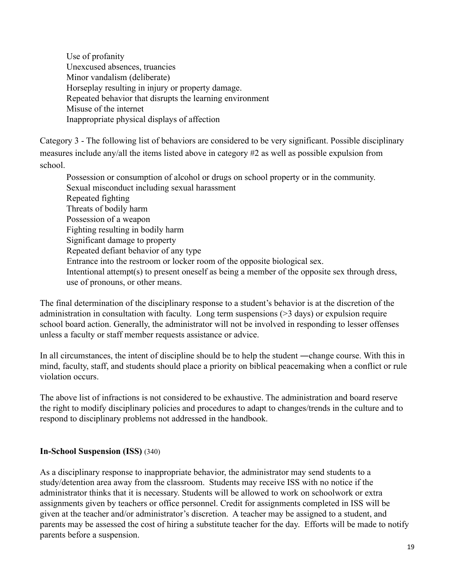Use of profanity Unexcused absences, truancies Minor vandalism (deliberate) Horseplay resulting in injury or property damage. Repeated behavior that disrupts the learning environment Misuse of the internet Inappropriate physical displays of affection

Category 3 - The following list of behaviors are considered to be very significant. Possible disciplinary measures include any/all the items listed above in category #2 as well as possible expulsion from school.

Possession or consumption of alcohol or drugs on school property or in the community. Sexual misconduct including sexual harassment Repeated fighting Threats of bodily harm Possession of a weapon Fighting resulting in bodily harm Significant damage to property Repeated defiant behavior of any type Entrance into the restroom or locker room of the opposite biological sex. Intentional attempt(s) to present oneself as being a member of the opposite sex through dress, use of pronouns, or other means.

The final determination of the disciplinary response to a student's behavior is at the discretion of the administration in consultation with faculty. Long term suspensions (>3 days) or expulsion require school board action. Generally, the administrator will not be involved in responding to lesser offenses unless a faculty or staff member requests assistance or advice.

In all circumstances, the intent of discipline should be to help the student —change course. With this in mind, faculty, staff, and students should place a priority on biblical peacemaking when a conflict or rule violation occurs.

The above list of infractions is not considered to be exhaustive. The administration and board reserve the right to modify disciplinary policies and procedures to adapt to changes/trends in the culture and to respond to disciplinary problems not addressed in the handbook.

### **In-School Suspension (ISS)** (340)

As a disciplinary response to inappropriate behavior, the administrator may send students to a study/detention area away from the classroom. Students may receive ISS with no notice if the administrator thinks that it is necessary. Students will be allowed to work on schoolwork or extra assignments given by teachers or office personnel. Credit for assignments completed in ISS will be given at the teacher and/or administrator's discretion. A teacher may be assigned to a student, and parents may be assessed the cost of hiring a substitute teacher for the day. Efforts will be made to notify parents before a suspension.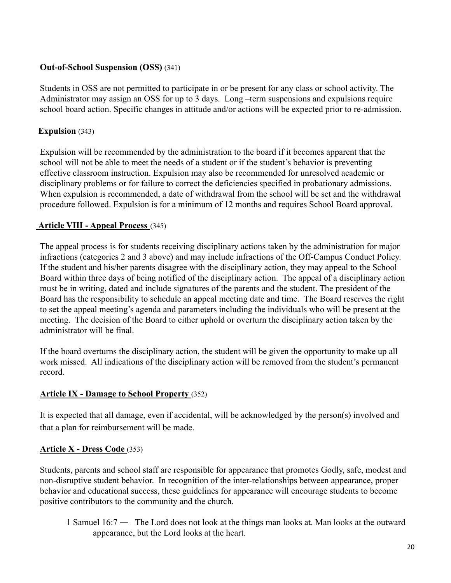## **Out-of-School Suspension (OSS)** (341)

Students in OSS are not permitted to participate in or be present for any class or school activity. The Administrator may assign an OSS for up to 3 days. Long –term suspensions and expulsions require school board action. Specific changes in attitude and/or actions will be expected prior to re-admission.

## **Expulsion** (343)

Expulsion will be recommended by the administration to the board if it becomes apparent that the school will not be able to meet the needs of a student or if the student's behavior is preventing effective classroom instruction. Expulsion may also be recommended for unresolved academic or disciplinary problems or for failure to correct the deficiencies specified in probationary admissions. When expulsion is recommended, a date of withdrawal from the school will be set and the withdrawal procedure followed. Expulsion is for a minimum of 12 months and requires School Board approval.

## **Article VIII - Appeal Process** (345)

The appeal process is for students receiving disciplinary actions taken by the administration for major infractions (categories 2 and 3 above) and may include infractions of the Off-Campus Conduct Policy. If the student and his/her parents disagree with the disciplinary action, they may appeal to the School Board within three days of being notified of the disciplinary action. The appeal of a disciplinary action must be in writing, dated and include signatures of the parents and the student. The president of the Board has the responsibility to schedule an appeal meeting date and time. The Board reserves the right to set the appeal meeting's agenda and parameters including the individuals who will be present at the meeting. The decision of the Board to either uphold or overturn the disciplinary action taken by the administrator will be final.

If the board overturns the disciplinary action, the student will be given the opportunity to make up all work missed. All indications of the disciplinary action will be removed from the student's permanent record.

## **Article IX - Damage to School Property** (352)

It is expected that all damage, even if accidental, will be acknowledged by the person(s) involved and that a plan for reimbursement will be made.

### **Article X - Dress Code** (353)

Students, parents and school staff are responsible for appearance that promotes Godly, safe, modest and non-disruptive student behavior. In recognition of the inter-relationships between appearance, proper behavior and educational success, these guidelines for appearance will encourage students to become positive contributors to the community and the church.

1 Samuel 16:7 ― The Lord does not look at the things man looks at. Man looks at the outward appearance, but the Lord looks at the heart.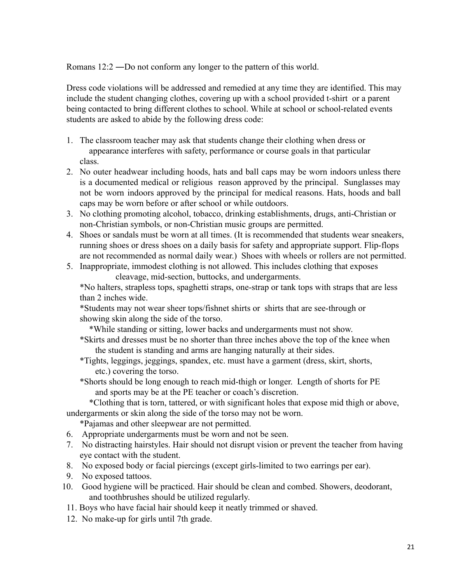Romans 12:2 ―Do not conform any longer to the pattern of this world.

Dress code violations will be addressed and remedied at any time they are identified. This may include the student changing clothes, covering up with a school provided t-shirt or a parent being contacted to bring different clothes to school. While at school or school-related events students are asked to abide by the following dress code:

- 1. The classroom teacher may ask that students change their clothing when dress or appearance interferes with safety, performance or course goals in that particular class.
- 2. No outer headwear including hoods, hats and ball caps may be worn indoors unless there is a documented medical or religious reason approved by the principal. Sunglasses may not be worn indoors approved by the principal for medical reasons. Hats, hoods and ball caps may be worn before or after school or while outdoors.
- 3. No clothing promoting alcohol, tobacco, drinking establishments, drugs, anti-Christian or non-Christian symbols, or non-Christian music groups are permitted.
- 4. Shoes or sandals must be worn at all times. (It is recommended that students wear sneakers, running shoes or dress shoes on a daily basis for safety and appropriate support. Flip-flops are not recommended as normal daily wear.) Shoes with wheels or rollers are not permitted.
- 5. Inappropriate, immodest clothing is not allowed. This includes clothing that exposes cleavage, mid-section, buttocks, and undergarments.

\*No halters, strapless tops, spaghetti straps, one-strap or tank tops with straps that are less than 2 inches wide.

\*Students may not wear sheer tops/fishnet shirts or shirts that are see-through or showing skin along the side of the torso.

\*While standing or sitting, lower backs and undergarments must not show.

- \*Skirts and dresses must be no shorter than three inches above the top of the knee when the student is standing and arms are hanging naturally at their sides.
- \*Tights, leggings, jeggings, spandex, etc. must have a garment (dress, skirt, shorts, etc.) covering the torso.
- \*Shorts should be long enough to reach mid-thigh or longer. Length of shorts for PE and sports may be at the PE teacher or coach's discretion.

\*Clothing that is torn, tattered, or with significant holes that expose mid thigh or above, undergarments or skin along the side of the torso may not be worn.

\*Pajamas and other sleepwear are not permitted.

- 6. Appropriate undergarments must be worn and not be seen.
- 7. No distracting hairstyles. Hair should not disrupt vision or prevent the teacher from having eye contact with the student.
- 8. No exposed body or facial piercings (except girls-limited to two earrings per ear).
- 9. No exposed tattoos.
- 10. Good hygiene will be practiced. Hair should be clean and combed. Showers, deodorant, and toothbrushes should be utilized regularly.
- 11. Boys who have facial hair should keep it neatly trimmed or shaved.
- 12. No make-up for girls until 7th grade.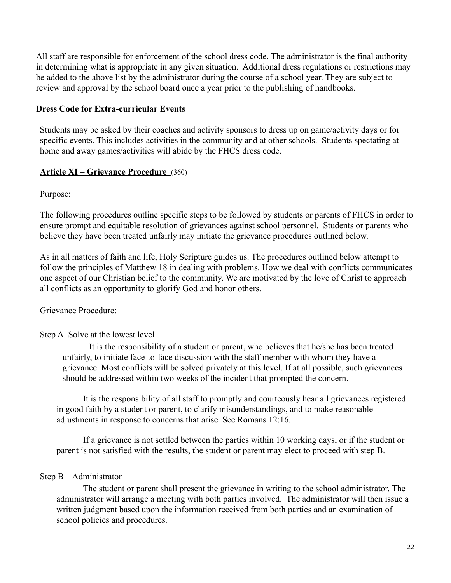All staff are responsible for enforcement of the school dress code. The administrator is the final authority in determining what is appropriate in any given situation. Additional dress regulations or restrictions may be added to the above list by the administrator during the course of a school year. They are subject to review and approval by the school board once a year prior to the publishing of handbooks.

#### **Dress Code for Extra-curricular Events**

Students may be asked by their coaches and activity sponsors to dress up on game/activity days or for specific events. This includes activities in the community and at other schools. Students spectating at home and away games/activities will abide by the FHCS dress code.

#### **Article XI – Grievance Procedure** (360)

Purpose:

The following procedures outline specific steps to be followed by students or parents of FHCS in order to ensure prompt and equitable resolution of grievances against school personnel. Students or parents who believe they have been treated unfairly may initiate the grievance procedures outlined below.

As in all matters of faith and life, Holy Scripture guides us. The procedures outlined below attempt to follow the principles of Matthew 18 in dealing with problems. How we deal with conflicts communicates one aspect of our Christian belief to the community. We are motivated by the love of Christ to approach all conflicts as an opportunity to glorify God and honor others.

Grievance Procedure:

### Step A. Solve at the lowest level

It is the responsibility of a student or parent, who believes that he/she has been treated unfairly, to initiate face-to-face discussion with the staff member with whom they have a grievance. Most conflicts will be solved privately at this level. If at all possible, such grievances should be addressed within two weeks of the incident that prompted the concern.

It is the responsibility of all staff to promptly and courteously hear all grievances registered in good faith by a student or parent, to clarify misunderstandings, and to make reasonable adjustments in response to concerns that arise. See Romans 12:16.

If a grievance is not settled between the parties within 10 working days, or if the student or parent is not satisfied with the results, the student or parent may elect to proceed with step B.

#### Step B – Administrator

The student or parent shall present the grievance in writing to the school administrator. The administrator will arrange a meeting with both parties involved. The administrator will then issue a written judgment based upon the information received from both parties and an examination of school policies and procedures.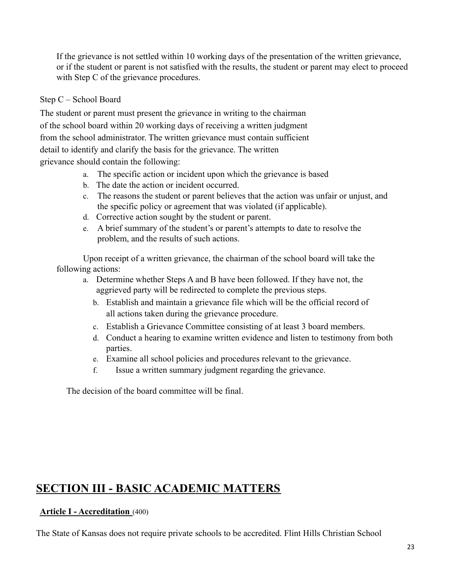If the grievance is not settled within 10 working days of the presentation of the written grievance, or if the student or parent is not satisfied with the results, the student or parent may elect to proceed with Step C of the grievance procedures.

### Step C – School Board

The student or parent must present the grievance in writing to the chairman of the school board within 20 working days of receiving a written judgment from the school administrator. The written grievance must contain sufficient detail to identify and clarify the basis for the grievance. The written grievance should contain the following:

- a. The specific action or incident upon which the grievance is based
- b. The date the action or incident occurred.
- c. The reasons the student or parent believes that the action was unfair or unjust, and the specific policy or agreement that was violated (if applicable).
- d. Corrective action sought by the student or parent.
- e. A brief summary of the student's or parent's attempts to date to resolve the problem, and the results of such actions.

Upon receipt of a written grievance, the chairman of the school board will take the following actions:

- a. Determine whether Steps A and B have been followed. If they have not, the aggrieved party will be redirected to complete the previous steps.
	- b. Establish and maintain a grievance file which will be the official record of all actions taken during the grievance procedure.
	- c. Establish a Grievance Committee consisting of at least 3 board members.
	- d. Conduct a hearing to examine written evidence and listen to testimony from both parties.
	- e. Examine all school policies and procedures relevant to the grievance.
	- f. Issue a written summary judgment regarding the grievance.

The decision of the board committee will be final.

# **SECTION III - BASIC ACADEMIC MATTERS**

## **Article I - Accreditation** (400)

The State of Kansas does not require private schools to be accredited. Flint Hills Christian School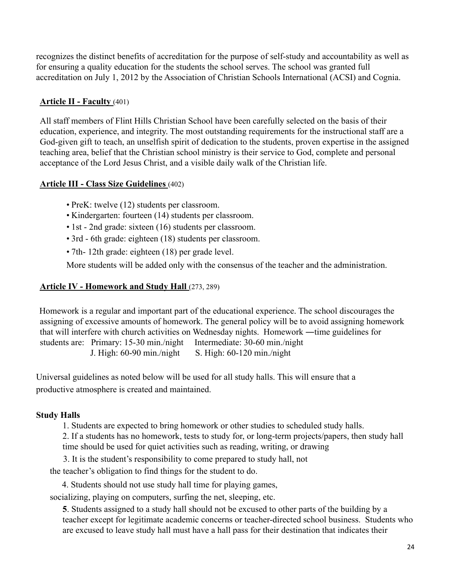recognizes the distinct benefits of accreditation for the purpose of self-study and accountability as well as for ensuring a quality education for the students the school serves. The school was granted full accreditation on July 1, 2012 by the Association of Christian Schools International (ACSI) and Cognia.

## **Article II - Faculty** (401)

All staff members of Flint Hills Christian School have been carefully selected on the basis of their education, experience, and integrity. The most outstanding requirements for the instructional staff are a God-given gift to teach, an unselfish spirit of dedication to the students, proven expertise in the assigned teaching area, belief that the Christian school ministry is their service to God, complete and personal acceptance of the Lord Jesus Christ, and a visible daily walk of the Christian life.

### **Article III - Class Size Guidelines** (402)

- PreK: twelve (12) students per classroom.
- Kindergarten: fourteen (14) students per classroom.
- 1st 2nd grade: sixteen (16) students per classroom.
- 3rd 6th grade: eighteen (18) students per classroom.
- 7th- 12th grade: eighteen (18) per grade level.

More students will be added only with the consensus of the teacher and the administration.

## **Article IV - Homework and Study Hall** (273, 289)

Homework is a regular and important part of the educational experience. The school discourages the assigning of excessive amounts of homework. The general policy will be to avoid assigning homework that will interfere with church activities on Wednesday nights. Homework ―time guidelines for students are: Primary: 15-30 min./night Intermediate: 30-60 min./night J. High:  $60-90$  min./night S. High:  $60-120$  min./night

Universal guidelines as noted below will be used for all study halls. This will ensure that a productive atmosphere is created and maintained.

### **Study Halls**

1. Students are expected to bring homework or other studies to scheduled study halls.

2. If a students has no homework, tests to study for, or long-term projects/papers, then study hall time should be used for quiet activities such as reading, writing, or drawing

3. It is the student's responsibility to come prepared to study hall, not

the teacher's obligation to find things for the student to do.

4. Students should not use study hall time for playing games,

socializing, playing on computers, surfing the net, sleeping, etc.

**5**. Students assigned to a study hall should not be excused to other parts of the building by a teacher except for legitimate academic concerns or teacher-directed school business. Students who are excused to leave study hall must have a hall pass for their destination that indicates their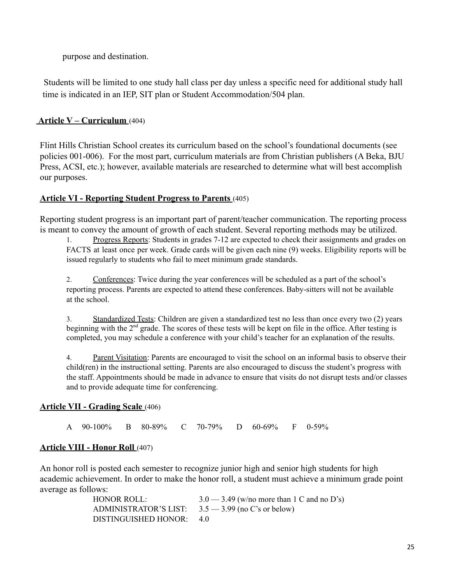purpose and destination.

Students will be limited to one study hall class per day unless a specific need for additional study hall time is indicated in an IEP, SIT plan or Student Accommodation/504 plan.

## **Article V – Curriculum** (404)

Flint Hills Christian School creates its curriculum based on the school's foundational documents (see policies 001-006). For the most part, curriculum materials are from Christian publishers (A Beka, BJU Press, ACSI, etc.); however, available materials are researched to determine what will best accomplish our purposes.

## **Article VI - Reporting Student Progress to Parents** (405)

Reporting student progress is an important part of parent/teacher communication. The reporting process is meant to convey the amount of growth of each student. Several reporting methods may be utilized.

1. Progress Reports: Students in grades 7-12 are expected to check their assignments and grades on FACTS at least once per week. Grade cards will be given each nine (9) weeks. Eligibility reports will be issued regularly to students who fail to meet minimum grade standards.

2. Conferences: Twice during the year conferences will be scheduled as a part of the school's reporting process. Parents are expected to attend these conferences. Baby-sitters will not be available at the school.

3. Standardized Tests: Children are given a standardized test no less than once every two (2) years beginning with the 2<sup>nd</sup> grade. The scores of these tests will be kept on file in the office. After testing is completed, you may schedule a conference with your child's teacher for an explanation of the results.

4. Parent Visitation: Parents are encouraged to visit the school on an informal basis to observe their child(ren) in the instructional setting. Parents are also encouraged to discuss the student's progress with the staff. Appointments should be made in advance to ensure that visits do not disrupt tests and/or classes and to provide adequate time for conferencing.

### **Article VII - Grading Scale** (406)

A 90-100% B 80-89% C 70-79% D 60-69% F 0-59%

## **Article VIII - Honor Roll** (407)

An honor roll is posted each semester to recognize junior high and senior high students for high academic achievement. In order to make the honor roll, a student must achieve a minimum grade point average as follows:

| HONOR ROLL:                                          | $3.0 - 3.49$ (w/no more than 1 C and no D's) |
|------------------------------------------------------|----------------------------------------------|
| ADMINISTRATOR'S LIST: $3.5 - 3.99$ (no C's or below) |                                              |
| DISTINGUISHED HONOR: 4.0                             |                                              |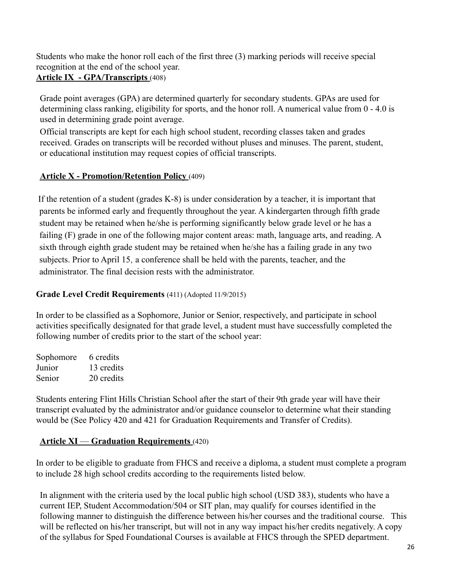Students who make the honor roll each of the first three (3) marking periods will receive special recognition at the end of the school year.

## **Article IX - GPA/Transcripts** (408)

Grade point averages (GPA) are determined quarterly for secondary students. GPAs are used for determining class ranking, eligibility for sports, and the honor roll. A numerical value from 0 - 4.0 is used in determining grade point average.

Official transcripts are kept for each high school student, recording classes taken and grades received. Grades on transcripts will be recorded without pluses and minuses. The parent, student, or educational institution may request copies of official transcripts.

## **Article X - Promotion/Retention Policy** (409)

If the retention of a student (grades K-8) is under consideration by a teacher, it is important that parents be informed early and frequently throughout the year. A kindergarten through fifth grade student may be retained when he/she is performing significantly below grade level or he has a failing (F) grade in one of the following major content areas: math, language arts, and reading. A sixth through eighth grade student may be retained when he/she has a failing grade in any two subjects. Prior to April 15*,* a conference shall be held with the parents, teacher, and the administrator. The final decision rests with the administrator.

## **Grade Level Credit Requirements** (411) (Adopted 11/9/2015)

In order to be classified as a Sophomore, Junior or Senior, respectively, and participate in school activities specifically designated for that grade level, a student must have successfully completed the following number of credits prior to the start of the school year:

Sophomore 6 credits Junior 13 credits Senior 20 credits

Students entering Flint Hills Christian School after the start of their 9th grade year will have their transcript evaluated by the administrator and/or guidance counselor to determine what their standing would be (See Policy 420 and 421 for Graduation Requirements and Transfer of Credits).

## **Article XI** — **Graduation Requirements** (420)

In order to be eligible to graduate from FHCS and receive a diploma, a student must complete a program to include 28 high school credits according to the requirements listed below.

In alignment with the criteria used by the local public high school (USD 383), students who have a current IEP, Student Accommodation/504 or SIT plan, may qualify for courses identified in the following manner to distinguish the difference between his/her courses and the traditional course. This will be reflected on his/her transcript, but will not in any way impact his/her credits negatively. A copy of the syllabus for Sped Foundational Courses is available at FHCS through the SPED department.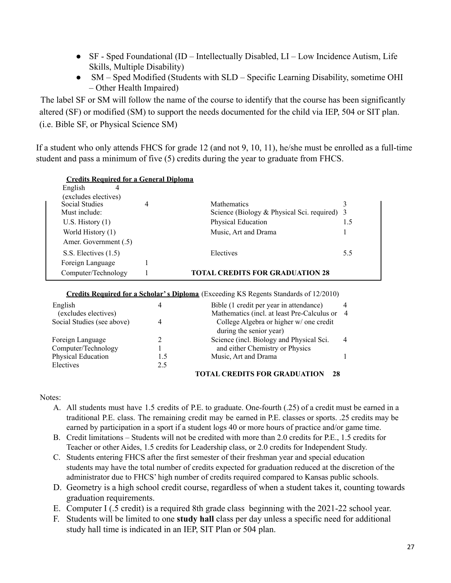- SF Sped Foundational (ID Intellectually Disabled, LI Low Incidence Autism, Life Skills, Multiple Disability)
- SM Sped Modified (Students with SLD Specific Learning Disability, sometime OHI – Other Health Impaired)

The label SF or SM will follow the name of the course to identify that the course has been significantly altered (SF) or modified (SM) to support the needs documented for the child via IEP, 504 or SIT plan. (i.e. Bible SF, or Physical Science SM)

If a student who only attends FHCS for grade 12 (and not 9, 10, 11), he/she must be enrolled as a full-time student and pass a minimum of five (5) credits during the year to graduate from FHCS.

| <b>Credits Required for a General Diploma</b> |   |                                              |     |
|-----------------------------------------------|---|----------------------------------------------|-----|
| English<br>4                                  |   |                                              |     |
| (excludes electives)                          |   |                                              |     |
| <b>Social Studies</b>                         | 4 | <b>Mathematics</b>                           |     |
| Must include:                                 |   | Science (Biology & Physical Sci. required) 3 |     |
| U.S. History $(1)$                            |   | Physical Education                           | 1.5 |
| World History (1)                             |   | Music, Art and Drama                         |     |
| Amer. Government (.5)                         |   |                                              |     |
| S.S. Electives $(1.5)$                        |   | Electives                                    | 5.5 |
| Foreign Language                              |   |                                              |     |
| Computer/Technology                           |   | <b>TOTAL CREDITS FOR GRADUATION 28</b>       |     |

**Credits Required for a Scholar's Diploma** (Exceeding KS Regents Standards of 12/2010)

| English<br>(excludes electives) |     | Bible (1 credit per year in attendance)<br>Mathematics (incl. at least Pre-Calculus or | 4<br>$\overline{4}$ |  |
|---------------------------------|-----|----------------------------------------------------------------------------------------|---------------------|--|
| Social Studies (see above)      |     | College Algebra or higher w/ one credit<br>during the senior year)                     |                     |  |
| Foreign Language                |     | Science (incl. Biology and Physical Sci.                                               | $\overline{4}$      |  |
| Computer/Technology             |     | and either Chemistry or Physics                                                        |                     |  |
| Physical Education              | 1.5 | Music, Art and Drama                                                                   |                     |  |
| Electives                       | 2.5 |                                                                                        |                     |  |
|                                 |     | 70<br>TOTAL CDEDITE FOD CDADILATION                                                    |                     |  |

#### **TOTAL CREDITS FOR GRADUATION 28**

#### Notes:

- A. All students must have 1.5 credits of P.E. to graduate. One-fourth (.25) of a credit must be earned in a traditional P.E. class. The remaining credit may be earned in P.E. classes or sports. .25 credits may be earned by participation in a sport if a student logs 40 or more hours of practice and/or game time.
- B. Credit limitations Students will not be credited with more than 2.0 credits for P.E., 1.5 credits for Teacher or other Aides, 1.5 credits for Leadership class, or 2.0 credits for Independent Study.
- C. Students entering FHCS after the first semester of their freshman year and special education students may have the total number of credits expected for graduation reduced at the discretion of the administrator due to FHCS' high number of credits required compared to Kansas public schools.
- D. Geometry is a high school credit course, regardless of when a student takes it, counting towards graduation requirements.
- E. Computer I (.5 credit) is a required 8th grade class beginning with the 2021-22 school year.
- F. Students will be limited to one **study hall** class per day unless a specific need for additional study hall time is indicated in an IEP, SIT Plan or 504 plan.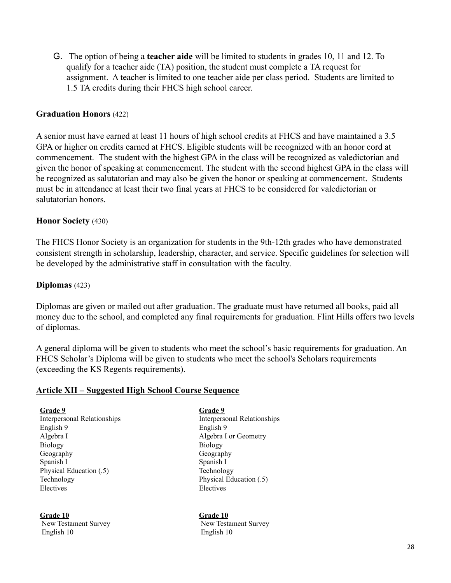G. The option of being a **teacher aide** will be limited to students in grades 10, 11 and 12. To qualify for a teacher aide (TA) position, the student must complete a TA request for assignment. A teacher is limited to one teacher aide per class period. Students are limited to 1.5 TA credits during their FHCS high school career.

#### **Graduation Honors** (422)

A senior must have earned at least 11 hours of high school credits at FHCS and have maintained a 3.5 GPA or higher on credits earned at FHCS. Eligible students will be recognized with an honor cord at commencement. The student with the highest GPA in the class will be recognized as valedictorian and given the honor of speaking at commencement. The student with the second highest GPA in the class will be recognized as salutatorian and may also be given the honor or speaking at commencement. Students must be in attendance at least their two final years at FHCS to be considered for valedictorian or salutatorian honors.

#### **Honor Society** (430)

The FHCS Honor Society is an organization for students in the 9th-12th grades who have demonstrated consistent strength in scholarship, leadership, character, and service. Specific guidelines for selection will be developed by the administrative staff in consultation with the faculty.

#### **Diplomas** (423)

Diplomas are given or mailed out after graduation. The graduate must have returned all books, paid all money due to the school, and completed any final requirements for graduation. Flint Hills offers two levels of diplomas.

A general diploma will be given to students who meet the school's basic requirements for graduation. An FHCS Scholar's Diploma will be given to students who meet the school's Scholars requirements (exceeding the KS Regents requirements).

#### **Article XII – Suggested High School Course Sequence**

**Grade 9 Grade 9** Interpersonal Relationships Interpersonal Relationships English 9 English 9 Algebra I and Algebra I or Geometry Biology Biology Geography Geography Spanish I Spanish I Physical Education (.5) Technology Technology Physical Education (.5) Electives Electives

**Grade 10 Grade 10** English 10 English 10

New Testament Survey New Testament Survey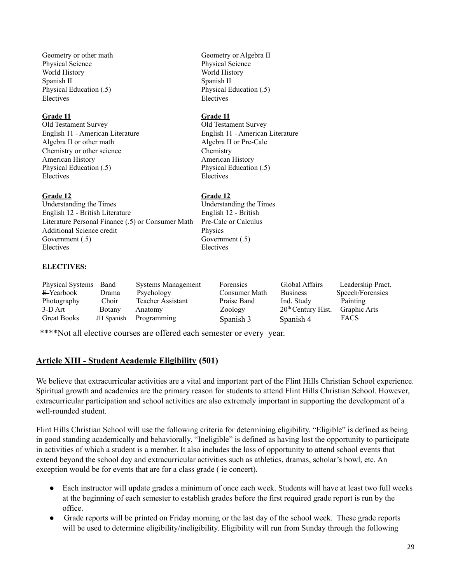Geometry or other math Geometry or Algebra II Physical Science Physical Science World History World History Spanish II Spanish II Physical Education (.5) Physical Education (.5) Electives Electives

#### **Grade 11 Grade 11**

Old Testament Survey Old Testament Survey Algebra II or other math Algebra II or Pre-Calc Chemistry or other science Chemistry American History American History Physical Education (.5) Physical Education (.5) Electives Electives

#### **Grade 12 Grade 12**

Understanding the Times Understanding the Times English 12 - British Literature English 12 - British Literature Personal Finance (.5) or Consumer Math Pre-Calc or Calculus Additional Science credit Physics Government (.5) Government (.5) Electives Electives

#### **ELECTIVES:**

| <b>Physical Systems</b> | Band          | <b>Systems Management</b> | <b>Forensics</b> | Global Affairs       | Leadership Pract. |
|-------------------------|---------------|---------------------------|------------------|----------------------|-------------------|
| $E$ -Yearbook           | Drama         | Psychology                | Consumer Math    | <b>Business</b>      | Speech/Forensics  |
| Photography             | Choir         | <b>Teacher Assistant</b>  | Praise Band      | Ind. Study           | Painting          |
| 3-D Art                 | <b>Botany</b> | Anatomy                   | Zoology          | $20th$ Century Hist. | Graphic Arts      |
| <b>Great Books</b>      | JH Spanish    | Programming               | Spanish 3        | Spanish 4            | <b>FACS</b>       |

\*\*\*\*Not all elective courses are offered each semester or every year.

#### **Article XIII - Student Academic Eligibility (501)**

We believe that extracurricular activities are a vital and important part of the Flint Hills Christian School experience. Spiritual growth and academics are the primary reason for students to attend Flint Hills Christian School. However, extracurricular participation and school activities are also extremely important in supporting the development of a well-rounded student.

Flint Hills Christian School will use the following criteria for determining eligibility. "Eligible" is defined as being in good standing academically and behaviorally. "Ineligible" is defined as having lost the opportunity to participate in activities of which a student is a member. It also includes the loss of opportunity to attend school events that extend beyond the school day and extracurricular activities such as athletics, dramas, scholar's bowl, etc. An exception would be for events that are for a class grade ( ie concert).

- Each instructor will update grades a minimum of once each week. Students will have at least two full weeks at the beginning of each semester to establish grades before the first required grade report is run by the office.
- Grade reports will be printed on Friday morning or the last day of the school week. These grade reports will be used to determine eligibility/ineligibility. Eligibility will run from Sunday through the following

English 11 - American Literature English 11 - American Literature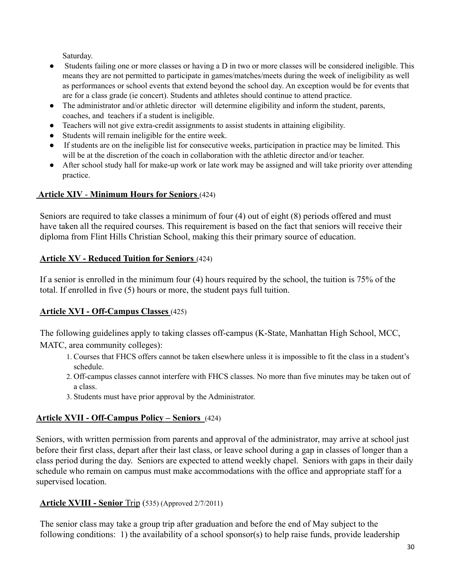Saturday.

- Students failing one or more classes or having a D in two or more classes will be considered ineligible. This means they are not permitted to participate in games/matches/meets during the week of ineligibility as well as performances or school events that extend beyond the school day. An exception would be for events that are for a class grade (ie concert). Students and athletes should continue to attend practice.
- The administrator and/or athletic director will determine eligibility and inform the student, parents, coaches, and teachers if a student is ineligible.
- Teachers will not give extra-credit assignments to assist students in attaining eligibility.
- Students will remain ineligible for the entire week.
- If students are on the ineligible list for consecutive weeks, participation in practice may be limited. This will be at the discretion of the coach in collaboration with the athletic director and/or teacher.
- After school study hall for make-up work or late work may be assigned and will take priority over attending practice.

## **Article XIV** - **Minimum Hours for Seniors** (424)

Seniors are required to take classes a minimum of four (4) out of eight (8) periods offered and must have taken all the required courses. This requirement is based on the fact that seniors will receive their diploma from Flint Hills Christian School, making this their primary source of education.

## **Article XV - Reduced Tuition for Seniors** (424)

If a senior is enrolled in the minimum four (4) hours required by the school, the tuition is 75% of the total. If enrolled in five (5) hours or more, the student pays full tuition.

## **Article XVI - Off-Campus Classes** (425)

The following guidelines apply to taking classes off-campus (K-State, Manhattan High School, MCC, MATC, area community colleges):

- 1. Courses that FHCS offers cannot be taken elsewhere unless it is impossible to fit the class in a student's schedule.
- 2. Off-campus classes cannot interfere with FHCS classes. No more than five minutes may be taken out of a class.
- 3. Students must have prior approval by the Administrator.

## **Article XVII - Off-Campus Policy – Seniors** (424)

Seniors, with written permission from parents and approval of the administrator, may arrive at school just before their first class, depart after their last class, or leave school during a gap in classes of longer than a class period during the day. Seniors are expected to attend weekly chapel. Seniors with gaps in their daily schedule who remain on campus must make accommodations with the office and appropriate staff for a supervised location.

## **Article XVIII - Senior** Trip (535) (Approved 2/7/2011)

The senior class may take a group trip after graduation and before the end of May subject to the following conditions: 1) the availability of a school sponsor(s) to help raise funds, provide leadership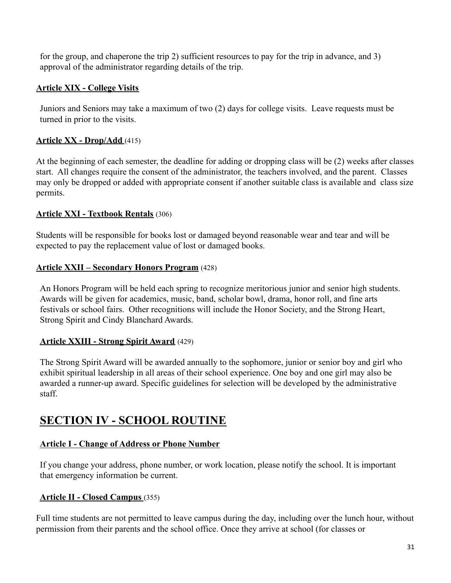for the group, and chaperone the trip 2) sufficient resources to pay for the trip in advance, and 3) approval of the administrator regarding details of the trip.

## <span id="page-30-0"></span>**Article XIX - College Visits**

Juniors and Seniors may take a maximum of two (2) days for college visits. Leave requests must be turned in prior to the visits.

## **Article XX - Drop/Add** (415)

At the beginning of each semester, the deadline for adding or dropping class will be (2) weeks after classes start. All changes require the consent of the administrator, the teachers involved, and the parent. Classes may only be dropped or added with appropriate consent if another suitable class is available and class size permits.

### **Article XXI - Textbook Rentals** (306)

Students will be responsible for books lost or damaged beyond reasonable wear and tear and will be expected to pay the replacement value of lost or damaged books.

### **Article XXII – Secondary Honors Program** (428)

An Honors Program will be held each spring to recognize meritorious junior and senior high students. Awards will be given for academics, music, band, scholar bowl, drama, honor roll, and fine arts festivals or school fairs. Other recognitions will include the Honor Society, and the Strong Heart, Strong Spirit and Cindy Blanchard Awards.

### **Article XXIII - Strong Spirit Award** (429)

The Strong Spirit Award will be awarded annually to the sophomore, junior or senior boy and girl who exhibit spiritual leadership in all areas of their school experience. One boy and one girl may also be awarded a runner-up award. Specific guidelines for selection will be developed by the administrative staff.

# **SECTION IV - SCHOOL ROUTINE**

### <span id="page-30-1"></span>**Article I - Change of Address or Phone Number**

If you change your address, phone number, or work location, please notify the school. It is important that emergency information be current.

### **Article II - Closed Campus** (355)

Full time students are not permitted to leave campus during the day, including over the lunch hour, without permission from their parents and the school office. Once they arrive at school (for classes or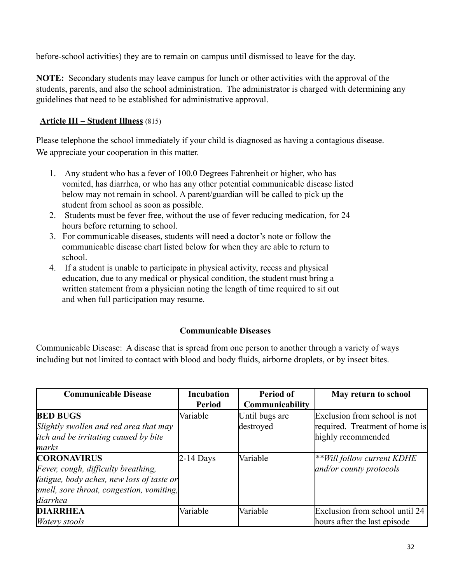before-school activities) they are to remain on campus until dismissed to leave for the day.

**NOTE:** Secondary students may leave campus for lunch or other activities with the approval of the students, parents, and also the school administration. The administrator is charged with determining any guidelines that need to be established for administrative approval.

## **Article III – Student Illness** (815)

Please telephone the school immediately if your child is diagnosed as having a contagious disease. We appreciate your cooperation in this matter.

- 1. Any student who has a fever of 100.0 Degrees Fahrenheit or higher, who has vomited, has diarrhea, or who has any other potential communicable disease listed below may not remain in school. A parent/guardian will be called to pick up the student from school as soon as possible.
- 2. Students must be fever free, without the use of fever reducing medication, for 24 hours before returning to school.
- 3. For communicable diseases, students will need a doctor's note or follow the communicable disease chart listed below for when they are able to return to school.
- 4. If a student is unable to participate in physical activity, recess and physical education, due to any medical or physical condition, the student must bring a written statement from a physician noting the length of time required to sit out and when full participation may resume.

### **Communicable Diseases**

Communicable Disease: A disease that is spread from one person to another through a variety of ways including but not limited to contact with blood and body fluids, airborne droplets, or by insect bites.

| <b>Communicable Disease</b>                  | <b>Incubation</b> | Period of       | May return to school           |
|----------------------------------------------|-------------------|-----------------|--------------------------------|
|                                              | <b>Period</b>     | Communicability |                                |
| <b>BED BUGS</b>                              | Variable          | Until bugs are  | Exclusion from school is not   |
| Slightly swollen and red area that may       |                   | destroyed       | required. Treatment of home is |
| <i>itch and be irritating caused by bite</i> |                   |                 | highly recommended             |
| marks                                        |                   |                 |                                |
| <b>CORONAVIRUS</b>                           | $2-14$ Days       | Variable        | **Will follow current KDHE     |
| Fever, cough, difficulty breathing,          |                   |                 | and/or county protocols        |
| fatigue, body aches, new loss of taste or    |                   |                 |                                |
| smell, sore throat, congestion, vomiting,    |                   |                 |                                |
| diarrhea                                     |                   |                 |                                |
| <b>DIARRHEA</b>                              | Variable          | Variable        | Exclusion from school until 24 |
| <i>Watery stools</i>                         |                   |                 | hours after the last episode   |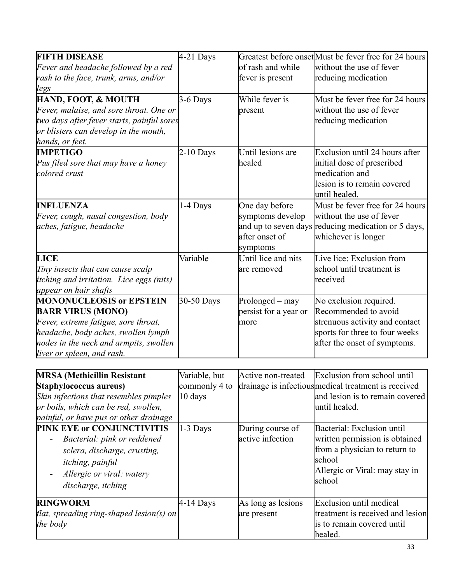| <b>FIFTH DISEASE</b>                            | $4-21$ Days   |                       | Greatest before onset Must be fever free for 24 hours |
|-------------------------------------------------|---------------|-----------------------|-------------------------------------------------------|
| Fever and headache followed by a red            |               | of rash and while     | without the use of fever                              |
| rash to the face, trunk, arms, and/or           |               | fever is present      | reducing medication                                   |
| legs                                            |               |                       |                                                       |
| HAND, FOOT, & MOUTH                             | 3-6 Days      | While fever is        | Must be fever free for 24 hours                       |
| Fever, malaise, and sore throat. One or         |               | present               | without the use of fever                              |
| two days after fever starts, painful sores      |               |                       | reducing medication                                   |
| or blisters can develop in the mouth,           |               |                       |                                                       |
| hands, or feet.                                 |               |                       |                                                       |
| <b>IMPETIGO</b>                                 | $2-10$ Days   | Until lesions are     | Exclusion until 24 hours after                        |
| Pus filed sore that may have a honey            |               | healed                | initial dose of prescribed                            |
| colored crust                                   |               |                       | medication and                                        |
|                                                 |               |                       | llesion is to remain covered                          |
|                                                 |               |                       | until healed.                                         |
| <b>INFLUENZA</b>                                | 1-4 Days      | One day before        | Must be fever free for 24 hours                       |
| Fever, cough, nasal congestion, body            |               | symptoms develop      | without the use of fever                              |
| aches, fatigue, headache                        |               |                       | and up to seven days reducing medication or 5 days,   |
|                                                 |               | after onset of        | whichever is longer                                   |
|                                                 |               | symptoms              |                                                       |
| <b>LICE</b>                                     | Variable      | Until lice and nits   | Live lice: Exclusion from                             |
| Tiny insects that can cause scalp               |               | are removed           | school until treatment is                             |
| <i>itching and irritation. Lice eggs (nits)</i> |               |                       | received                                              |
| appear on hair shafts                           |               |                       |                                                       |
| <b>MONONUCLEOSIS or EPSTEIN</b>                 | 30-50 Days    | Prolonged - may       | No exclusion required.                                |
| <b>BARR VIRUS (MONO)</b>                        |               | persist for a year or | Recommended to avoid                                  |
| Fever, extreme fatigue, sore throat,            |               | more                  | strenuous activity and contact                        |
| headache, body aches, swollen lymph             |               |                       | sports for three to four weeks                        |
| nodes in the neck and armpits, swollen          |               |                       | after the onset of symptoms.                          |
| liver or spleen, and rash.                      |               |                       |                                                       |
|                                                 |               |                       |                                                       |
| <b>MRSA</b> (Methicillin Resistant              | Variable, but | Active non-treated    | Exclusion from school until                           |

| <b>MRSA</b> (Methicillin Resistant<br>Staphylococcus aureus)<br>Skin infections that resembles pimples<br>or boils, which can be red, swollen,<br>painful, or have pus or other drainage | Variable, but<br>commonly 4 to<br>10 days | Active non-treated                   | Exclusion from school until<br>drainage is infectious medical treatment is received<br>and lesion is to remain covered<br>luntil healed.            |
|------------------------------------------------------------------------------------------------------------------------------------------------------------------------------------------|-------------------------------------------|--------------------------------------|-----------------------------------------------------------------------------------------------------------------------------------------------------|
| <b>PINK EYE or CONJUNCTIVITIS</b><br>Bacterial: pink or reddened<br>sclera, discharge, crusting,<br><i>itching</i> , <i>painful</i><br>Allergic or viral: watery<br>discharge, itching   | 1-3 Days                                  | During course of<br>active infection | Bacterial: Exclusion until<br>written permission is obtained<br>from a physician to return to<br>school<br>Allergic or Viral: may stay in<br>school |
| <b>RINGWORM</b><br>flat, spreading ring-shaped lesion(s) on<br>the body                                                                                                                  | $4-14$ Days                               | As long as lesions<br>are present    | Exclusion until medical<br>treatment is received and lesion<br>is to remain covered until<br>healed.                                                |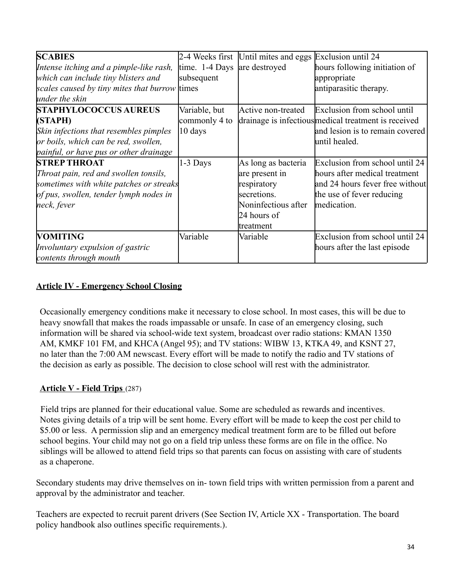| <b>SCABIES</b>                                | 2-4 Weeks first | Until mites and eggs Exclusion until 24 |                                                      |
|-----------------------------------------------|-----------------|-----------------------------------------|------------------------------------------------------|
| Intense itching and a pimple-like rash,       | time. 1-4 Days  | are destroyed                           | hours following initiation of                        |
| which can include tiny blisters and           | subsequent      |                                         | appropriate                                          |
| scales caused by tiny mites that burrow times |                 |                                         | antiparasitic therapy.                               |
| under the skin                                |                 |                                         |                                                      |
| <b>STAPHYLOCOCCUS AUREUS</b>                  | Variable, but   | Active non-treated                      | Exclusion from school until                          |
| (STAPH)                                       | commonly 4 to   |                                         | drainage is infectious medical treatment is received |
| Skin infections that resembles pimples        | 10 days         |                                         | and lesion is to remain covered                      |
| or boils, which can be red, swollen,          |                 |                                         | luntil healed.                                       |
| painful, or have pus or other drainage        |                 |                                         |                                                      |
| <b>STREP THROAT</b>                           | 1-3 Days        | As long as bacteria                     | Exclusion from school until 24                       |
| Throat pain, red and swollen tonsils,         |                 | are present in                          | hours after medical treatment                        |
| sometimes with white patches or streaks       |                 | respiratory                             | and 24 hours fever free without                      |
| of pus, swollen, tender lymph nodes in        |                 | secretions.                             | the use of fever reducing                            |
| neck, fever                                   |                 | Noninfectious after                     | medication.                                          |
|                                               |                 | 24 hours of                             |                                                      |
|                                               |                 | treatment                               |                                                      |
| <b>VOMITING</b>                               | Variable        | Variable                                | Exclusion from school until 24                       |
| Involuntary expulsion of gastric              |                 |                                         | hours after the last episode                         |
| contents through mouth                        |                 |                                         |                                                      |

## <span id="page-33-0"></span>**Article IV - Emergency School Closing**

Occasionally emergency conditions make it necessary to close school. In most cases, this will be due to heavy snowfall that makes the roads impassable or unsafe. In case of an emergency closing, such information will be shared via school-wide text system, broadcast over radio stations: KMAN 1350 AM, KMKF 101 FM, and KHCA (Angel 95); and TV stations: WIBW 13, KTKA 49, and KSNT 27, no later than the 7:00 AM newscast. Every effort will be made to notify the radio and TV stations of the decision as early as possible. The decision to close school will rest with the administrator.

### **Article V - Field Trips** (287)

Field trips are planned for their educational value. Some are scheduled as rewards and incentives. Notes giving details of a trip will be sent home. Every effort will be made to keep the cost per child to \$5.00 or less. A permission slip and an emergency medical treatment form are to be filled out before school begins. Your child may not go on a field trip unless these forms are on file in the office. No siblings will be allowed to attend field trips so that parents can focus on assisting with care of students as a chaperone.

Secondary students may drive themselves on in- town field trips with written permission from a parent and approval by the administrator and teacher.

Teachers are expected to recruit parent drivers (See Section IV, Article XX - Transportation. The board policy handbook also outlines specific requirements.).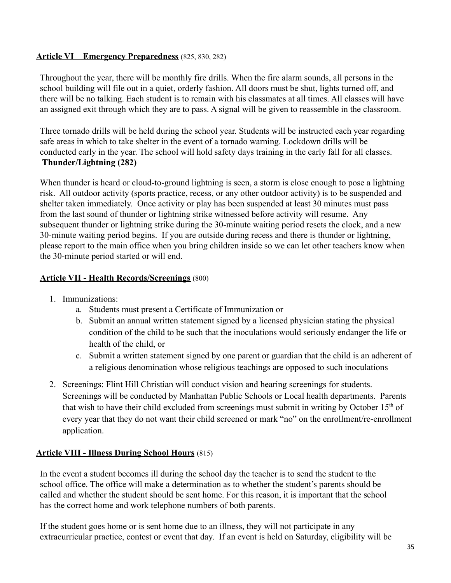## **Article VI** – **Emergency Preparedness** (825, 830, 282)

Throughout the year, there will be monthly fire drills. When the fire alarm sounds, all persons in the school building will file out in a quiet, orderly fashion. All doors must be shut, lights turned off, and there will be no talking. Each student is to remain with his classmates at all times. All classes will have an assigned exit through which they are to pass. A signal will be given to reassemble in the classroom.

Three tornado drills will be held during the school year. Students will be instructed each year regarding safe areas in which to take shelter in the event of a tornado warning. Lockdown drills will be conducted early in the year. The school will hold safety days training in the early fall for all classes. **Thunder/Lightning (282)**

When thunder is heard or cloud-to-ground lightning is seen, a storm is close enough to pose a lightning risk. All outdoor activity (sports practice, recess, or any other outdoor activity) is to be suspended and shelter taken immediately. Once activity or play has been suspended at least 30 minutes must pass from the last sound of thunder or lightning strike witnessed before activity will resume. Any subsequent thunder or lightning strike during the 30-minute waiting period resets the clock, and a new 30-minute waiting period begins. If you are outside during recess and there is thunder or lightning, please report to the main office when you bring children inside so we can let other teachers know when the 30-minute period started or will end.

## **Article VII - Health Records/Screenings** (800)

- 1. Immunizations:
	- a. Students must present a Certificate of Immunization or
	- b. Submit an annual written statement signed by a licensed physician stating the physical condition of the child to be such that the inoculations would seriously endanger the life or health of the child, or
	- c. Submit a written statement signed by one parent or guardian that the child is an adherent of a religious denomination whose religious teachings are opposed to such inoculations
- 2. Screenings: Flint Hill Christian will conduct vision and hearing screenings for students. Screenings will be conducted by Manhattan Public Schools or Local health departments. Parents that wish to have their child excluded from screenings must submit in writing by October  $15<sup>th</sup>$  of every year that they do not want their child screened or mark "no" on the enrollment/re-enrollment application.

## **Article VIII - Illness During School Hours** (815)

In the event a student becomes ill during the school day the teacher is to send the student to the school office. The office will make a determination as to whether the student's parents should be called and whether the student should be sent home. For this reason, it is important that the school has the correct home and work telephone numbers of both parents.

If the student goes home or is sent home due to an illness, they will not participate in any extracurricular practice, contest or event that day. If an event is held on Saturday, eligibility will be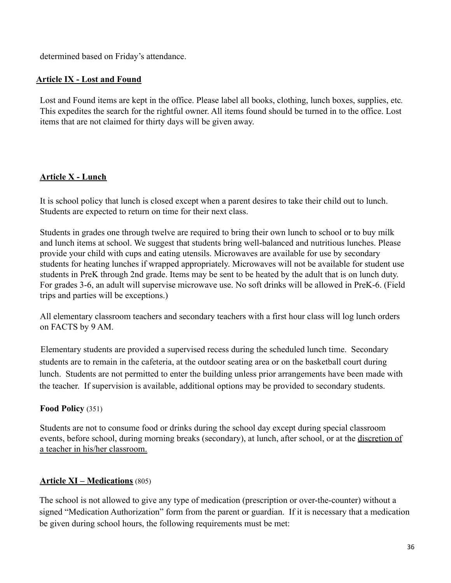determined based on Friday's attendance.

## **Article IX - Lost and Found**

Lost and Found items are kept in the office. Please label all books, clothing, lunch boxes, supplies, etc*.* This expedites the search for the rightful owner. All items found should be turned in to the office. Lost items that are not claimed for thirty days will be given away.

## <span id="page-35-0"></span>**Article X - Lunch**

It is school policy that lunch is closed except when a parent desires to take their child out to lunch. Students are expected to return on time for their next class.

Students in grades one through twelve are required to bring their own lunch to school or to buy milk and lunch items at school. We suggest that students bring well-balanced and nutritious lunches. Please provide your child with cups and eating utensils. Microwaves are available for use by secondary students for heating lunches if wrapped appropriately. Microwaves will not be available for student use students in PreK through 2nd grade. Items may be sent to be heated by the adult that is on lunch duty. For grades 3-6, an adult will supervise microwave use. No soft drinks will be allowed in PreK-6. (Field trips and parties will be exceptions.)

All elementary classroom teachers and secondary teachers with a first hour class will log lunch orders on FACTS by 9 AM.

Elementary students are provided a supervised recess during the scheduled lunch time. Secondary students are to remain in the cafeteria, at the outdoor seating area or on the basketball court during lunch. Students are not permitted to enter the building unless prior arrangements have been made with the teacher. If supervision is available, additional options may be provided to secondary students.

## **Food Policy** (351)

Students are not to consume food or drinks during the school day except during special classroom events, before school, during morning breaks (secondary), at lunch, after school, or at the discretion of a teacher in his/her classroom.

## **Article XI – Medications** (805)

The school is not allowed to give any type of medication (prescription or over-the-counter) without a signed "Medication Authorization" form from the parent or guardian. If it is necessary that a medication be given during school hours, the following requirements must be met: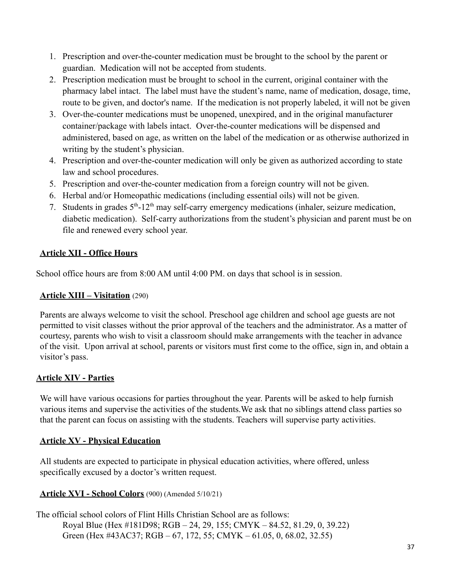- 1. Prescription and over-the-counter medication must be brought to the school by the parent or guardian. Medication will not be accepted from students.
- 2. Prescription medication must be brought to school in the current, original container with the pharmacy label intact. The label must have the student's name, name of medication, dosage, time, route to be given, and doctor's name. If the medication is not properly labeled, it will not be given
- 3. Over-the-counter medications must be unopened, unexpired, and in the original manufacturer container/package with labels intact. Over-the-counter medications will be dispensed and administered, based on age, as written on the label of the medication or as otherwise authorized in writing by the student's physician.
- 4. Prescription and over-the-counter medication will only be given as authorized according to state law and school procedures.
- 5. Prescription and over-the-counter medication from a foreign country will not be given.
- 6. Herbal and/or Homeopathic medications (including essential oils) will not be given.
- 7. Students in grades  $5<sup>th</sup> 12<sup>th</sup>$  may self-carry emergency medications (inhaler, seizure medication, diabetic medication). Self-carry authorizations from the student's physician and parent must be on file and renewed every school year.

## <span id="page-36-0"></span>**Article XII - Office Hours**

School office hours are from 8:00 AM until 4:00 PM. on days that school is in session.

## **Article XIII – Visitation** (290)

Parents are always welcome to visit the school. Preschool age children and school age guests are not permitted to visit classes without the prior approval of the teachers and the administrator. As a matter of courtesy, parents who wish to visit a classroom should make arrangements with the teacher in advance of the visit. Upon arrival at school, parents or visitors must first come to the office, sign in, and obtain a visitor's pass.

## <span id="page-36-1"></span>**Article XIV - Parties**

We will have various occasions for parties throughout the year. Parents will be asked to help furnish various items and supervise the activities of the students.We ask that no siblings attend class parties so that the parent can focus on assisting with the students. Teachers will supervise party activities.

## <span id="page-36-2"></span>**Article XV - Physical Education**

All students are expected to participate in physical education activities, where offered, unless specifically excused by a doctor's written request.

### **Article XVI - School Colors** (900) (Amended 5/10/21)

The official school colors of Flint Hills Christian School are as follows: Royal Blue (Hex #181D98; RGB – 24, 29, 155; CMYK – 84.52, 81.29, 0, 39.22) Green (Hex #43AC37; RGB – 67, 172, 55; CMYK – 61.05, 0, 68.02, 32.55)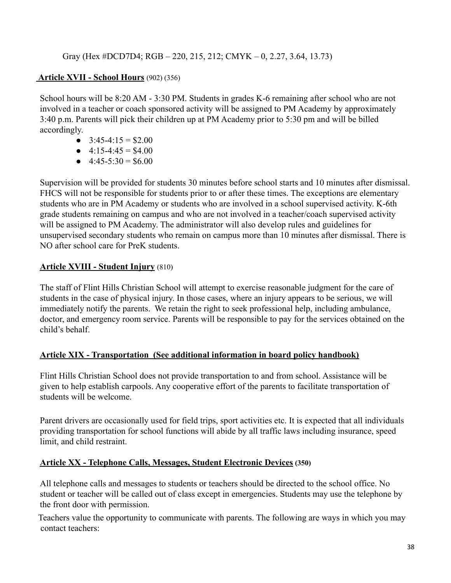## Gray (Hex #DCD7D4; RGB – 220, 215, 212; CMYK – 0, 2.27, 3.64, 13.73)

## **Article XVII - School Hours** (902) (356)

School hours will be 8:20 AM - 3:30 PM. Students in grades K-6 remaining after school who are not involved in a teacher or coach sponsored activity will be assigned to PM Academy by approximately 3:40 p.m. Parents will pick their children up at PM Academy prior to 5:30 pm and will be billed accordingly.

- $\bullet$  3:45-4:15 = \$2.00
- $\bullet$  4:15-4:45 = \$4.00
- $\bullet$  4:45-5:30 = \$6.00

Supervision will be provided for students 30 minutes before school starts and 10 minutes after dismissal. FHCS will not be responsible for students prior to or after these times. The exceptions are elementary students who are in PM Academy or students who are involved in a school supervised activity. K-6th grade students remaining on campus and who are not involved in a teacher/coach supervised activity will be assigned to PM Academy. The administrator will also develop rules and guidelines for unsupervised secondary students who remain on campus more than 10 minutes after dismissal. There is NO after school care for PreK students.

### **Article XVIII - Student Injury** (810)

The staff of Flint Hills Christian School will attempt to exercise reasonable judgment for the care of students in the case of physical injury. In those cases, where an injury appears to be serious, we will immediately notify the parents. We retain the right to seek professional help, including ambulance, doctor, and emergency room service. Parents will be responsible to pay for the services obtained on the child's behalf.

### <span id="page-37-0"></span>**Article XIX - Transportation (See additional information in board policy handbook)**

Flint Hills Christian School does not provide transportation to and from school. Assistance will be given to help establish carpools. Any cooperative effort of the parents to facilitate transportation of students will be welcome.

Parent drivers are occasionally used for field trips, sport activities etc. It is expected that all individuals providing transportation for school functions will abide by all traffic laws including insurance, speed limit, and child restraint.

### <span id="page-37-1"></span>**Article XX - Telephone Calls, Messages, Student Electronic Devices (350)**

All telephone calls and messages to students or teachers should be directed to the school office. No student or teacher will be called out of class except in emergencies. Students may use the telephone by the front door with permission.

Teachers value the opportunity to communicate with parents. The following are ways in which you may contact teachers: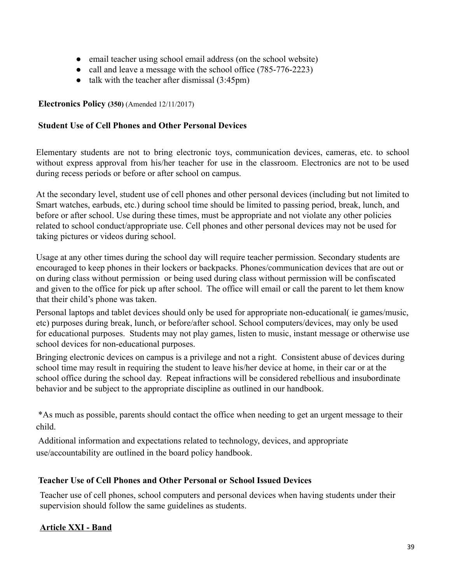- email teacher using school email address (on the school website)
- call and leave a message with the school office (785-776-2223)
- talk with the teacher after dismissal  $(3:45pm)$

### **Electronics Policy (350)** (Amended 12/11/2017)

#### **Student Use of Cell Phones and Other Personal Devices**

Elementary students are not to bring electronic toys, communication devices, cameras, etc. to school without express approval from his/her teacher for use in the classroom. Electronics are not to be used during recess periods or before or after school on campus.

At the secondary level, student use of cell phones and other personal devices (including but not limited to Smart watches, earbuds, etc.) during school time should be limited to passing period, break, lunch, and before or after school. Use during these times, must be appropriate and not violate any other policies related to school conduct/appropriate use. Cell phones and other personal devices may not be used for taking pictures or videos during school.

Usage at any other times during the school day will require teacher permission. Secondary students are encouraged to keep phones in their lockers or backpacks. Phones/communication devices that are out or on during class without permission or being used during class without permission will be confiscated and given to the office for pick up after school. The office will email or call the parent to let them know that their child's phone was taken.

Personal laptops and tablet devices should only be used for appropriate non-educational( ie games/music, etc) purposes during break, lunch, or before/after school. School computers/devices, may only be used for educational purposes. Students may not play games, listen to music, instant message or otherwise use school devices for non-educational purposes.

Bringing electronic devices on campus is a privilege and not a right. Consistent abuse of devices during school time may result in requiring the student to leave his/her device at home, in their car or at the school office during the school day. Repeat infractions will be considered rebellious and insubordinate behavior and be subject to the appropriate discipline as outlined in our handbook.

\*As much as possible, parents should contact the office when needing to get an urgent message to their child.

Additional information and expectations related to technology, devices, and appropriate use/accountability are outlined in the board policy handbook.

### **Teacher Use of Cell Phones and Other Personal or School Issued Devices**

Teacher use of cell phones, school computers and personal devices when having students under their supervision should follow the same guidelines as students.

## <span id="page-38-0"></span>**Article XXI - Band**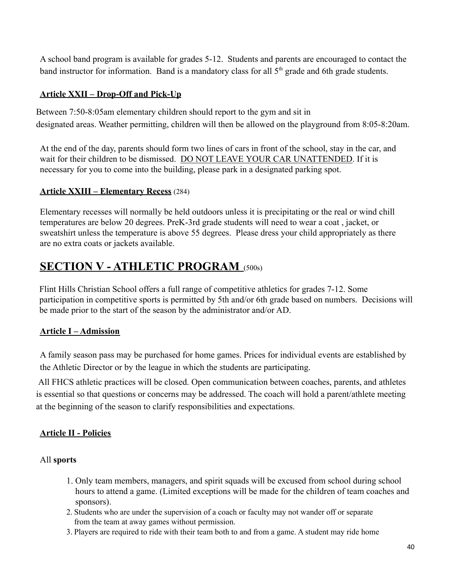A school band program is available for grades 5-12. Students and parents are encouraged to contact the band instructor for information. Band is a mandatory class for all  $5<sup>th</sup>$  grade and 6th grade students.

## **Article XXII – Drop-Off and Pick-Up**

Between 7:50-8:05am elementary children should report to the gym and sit in designated areas. Weather permitting, children will then be allowed on the playground from 8:05-8:20am.

At the end of the day, parents should form two lines of cars in front of the school, stay in the car, and wait for their children to be dismissed. DO NOT LEAVE YOUR CAR UNATTENDED. If it is necessary for you to come into the building, please park in a designated parking spot.

## **Article XXIII – Elementary Recess** (284)

Elementary recesses will normally be held outdoors unless it is precipitating or the real or wind chill temperatures are below 20 degrees. PreK-3rd grade students will need to wear a coat , jacket, or sweatshirt unless the temperature is above 55 degrees. Please dress your child appropriately as there are no extra coats or jackets available.

# **SECTION V - ATHLETIC PROGRAM** (500s)

Flint Hills Christian School offers a full range of competitive athletics for grades 7-12. Some participation in competitive sports is permitted by 5th and/or 6th grade based on numbers. Decisions will be made prior to the start of the season by the administrator and/or AD.

### <span id="page-39-0"></span>**Article I – Admission**

A family season pass may be purchased for home games. Prices for individual events are established by the Athletic Director or by the league in which the students are participating.

All FHCS athletic practices will be closed. Open communication between coaches, parents, and athletes is essential so that questions or concerns may be addressed. The coach will hold a parent/athlete meeting at the beginning of the season to clarify responsibilities and expectations.

## <span id="page-39-1"></span>**Article II - Policies**

### All **sports**

- 1. Only team members, managers, and spirit squads will be excused from school during school hours to attend a game. (Limited exceptions will be made for the children of team coaches and sponsors).
- 2. Students who are under the supervision of a coach or faculty may not wander off or separate from the team at away games without permission.
- 3. Players are required to ride with their team both to and from a game. A student may ride home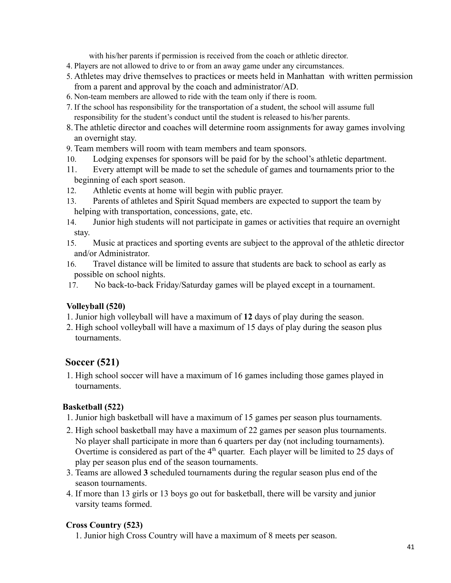with his/her parents if permission is received from the coach or athletic director.

- 4. Players are not allowed to drive to or from an away game under any circumstances.
- 5. Athletes may drive themselves to practices or meets held in Manhattan with written permission from a parent and approval by the coach and administrator/AD.
- 6. Non-team members are allowed to ride with the team only if there is room.
- 7. If the school has responsibility for the transportation of a student, the school will assume full responsibility for the student's conduct until the student is released to his/her parents.
- 8.The athletic director and coaches will determine room assignments for away games involving an overnight stay.
- 9. Team members will room with team members and team sponsors.
- 10. Lodging expenses for sponsors will be paid for by the school's athletic department.
- 11. Every attempt will be made to set the schedule of games and tournaments prior to the beginning of each sport season.
- 12. Athletic events at home will begin with public prayer.
- 13. Parents of athletes and Spirit Squad members are expected to support the team by helping with transportation, concessions, gate, etc.
- 14. Junior high students will not participate in games or activities that require an overnight stay.
- 15. Music at practices and sporting events are subject to the approval of the athletic director and/or Administrator.
- 16. Travel distance will be limited to assure that students are back to school as early as possible on school nights.
- 17. No back-to-back Friday/Saturday games will be played except in a tournament.

#### **Volleyball (520)**

- 1. Junior high volleyball will have a maximum of **12** days of play during the season.
- 2. High school volleyball will have a maximum of 15 days of play during the season plus tournaments.

## **Soccer (521)**

1. High school soccer will have a maximum of 16 games including those games played in tournaments.

#### **Basketball (522)**

- 1. Junior high basketball will have a maximum of 15 games per season plus tournaments.
- 2. High school basketball may have a maximum of 22 games per season plus tournaments. No player shall participate in more than 6 quarters per day (not including tournaments). Overtime is considered as part of the  $4<sup>th</sup>$  quarter. Each player will be limited to 25 days of play per season plus end of the season tournaments.
- 3. Teams are allowed **3** scheduled tournaments during the regular season plus end of the season tournaments.
- 4. If more than 13 girls or 13 boys go out for basketball, there will be varsity and junior varsity teams formed.

### **Cross Country (523)**

1. Junior high Cross Country will have a maximum of 8 meets per season.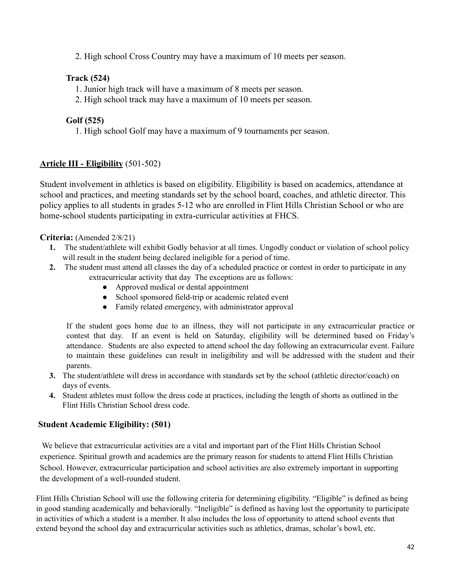2. High school Cross Country may have a maximum of 10 meets per season.

## **Track (524)**

- 1. Junior high track will have a maximum of 8 meets per season.
- 2. High school track may have a maximum of 10 meets per season.

## **Golf (525)**

1. High school Golf may have a maximum of 9 tournaments per season.

## <span id="page-41-0"></span>**Article III - Eligibility** (501-502)

Student involvement in athletics is based on eligibility. Eligibility is based on academics, attendance at school and practices, and meeting standards set by the school board, coaches, and athletic director. This policy applies to all students in grades 5-12 who are enrolled in Flint Hills Christian School or who are home-school students participating in extra-curricular activities at FHCS.

## **Criteria:** (Amended 2/8/21)

- **1.** The student/athlete will exhibit Godly behavior at all times. Ungodly conduct or violation of school policy will result in the student being declared ineligible for a period of time.
- **2.** The student must attend all classes the day of a scheduled practice or contest in order to participate in any extracurricular activity that day The exceptions are as follows:
	- Approved medical or dental appointment
	- School sponsored field-trip or academic related event
	- Family related emergency, with administrator approval

If the student goes home due to an illness, they will not participate in any extracurricular practice or contest that day. If an event is held on Saturday, eligibility will be determined based on Friday's attendance. Students are also expected to attend school the day following an extracurricular event. Failure to maintain these guidelines can result in ineligibility and will be addressed with the student and their parents.

- **3.** The student/athlete will dress in accordance with standards set by the school (athletic director/coach) on days of events.
- **4.** Student athletes must follow the dress code at practices, including the length of shorts as outlined in the Flint Hills Christian School dress code.

### **Student Academic Eligibility: (501)**

We believe that extracurricular activities are a vital and important part of the Flint Hills Christian School experience. Spiritual growth and academics are the primary reason for students to attend Flint Hills Christian School. However, extracurricular participation and school activities are also extremely important in supporting the development of a well-rounded student.

Flint Hills Christian School will use the following criteria for determining eligibility. "Eligible" is defined as being in good standing academically and behaviorally. "Ineligible" is defined as having lost the opportunity to participate in activities of which a student is a member. It also includes the loss of opportunity to attend school events that extend beyond the school day and extracurricular activities such as athletics, dramas, scholar's bowl, etc.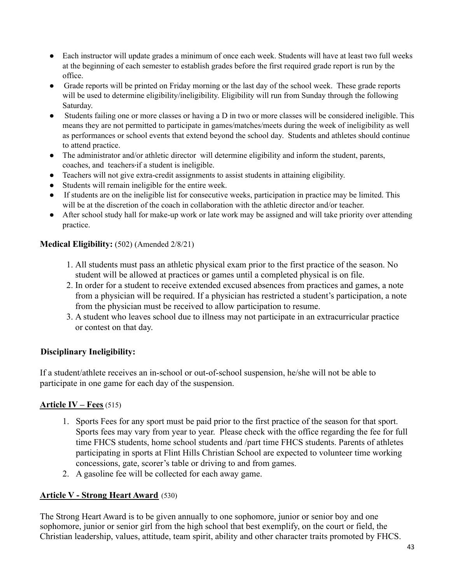- Each instructor will update grades a minimum of once each week. Students will have at least two full weeks at the beginning of each semester to establish grades before the first required grade report is run by the office.
- Grade reports will be printed on Friday morning or the last day of the school week. These grade reports will be used to determine eligibility/ineligibility. Eligibility will run from Sunday through the following Saturday.
- Students failing one or more classes or having a D in two or more classes will be considered ineligible. This means they are not permitted to participate in games/matches/meets during the week of ineligibility as well as performances or school events that extend beyond the school day. Students and athletes should continue to attend practice.
- The administrator and/or athletic director will determine eligibility and inform the student, parents, coaches, and teachers if a student is ineligible.
- Teachers will not give extra-credit assignments to assist students in attaining eligibility.
- Students will remain ineligible for the entire week.
- If students are on the ineligible list for consecutive weeks, participation in practice may be limited. This will be at the discretion of the coach in collaboration with the athletic director and/or teacher.
- After school study hall for make-up work or late work may be assigned and will take priority over attending practice.

#### **Medical Eligibility:** (502) (Amended 2/8/21)

- 1. All students must pass an athletic physical exam prior to the first practice of the season. No student will be allowed at practices or games until a completed physical is on file.
- 2. In order for a student to receive extended excused absences from practices and games, a note from a physician will be required. If a physician has restricted a student's participation, a note from the physician must be received to allow participation to resume.
- 3. A student who leaves school due to illness may not participate in an extracurricular practice or contest on that day.

### **Disciplinary Ineligibility:**

If a student/athlete receives an in-school or out-of-school suspension, he/she will not be able to participate in one game for each day of the suspension.

### <span id="page-42-0"></span>**Article IV – Fees** (515)

- 1. Sports Fees for any sport must be paid prior to the first practice of the season for that sport. Sports fees may vary from year to year. Please check with the office regarding the fee for full time FHCS students, home school students and /part time FHCS students. Parents of athletes participating in sports at Flint Hills Christian School are expected to volunteer time working concessions, gate, scorer's table or driving to and from games.
- 2. A gasoline fee will be collected for each away game.

### **Article V - Strong Heart Award** (530)

The Strong Heart Award is to be given annually to one sophomore, junior or senior boy and one sophomore, junior or senior girl from the high school that best exemplify, on the court or field, the Christian leadership, values, attitude, team spirit, ability and other character traits promoted by FHCS.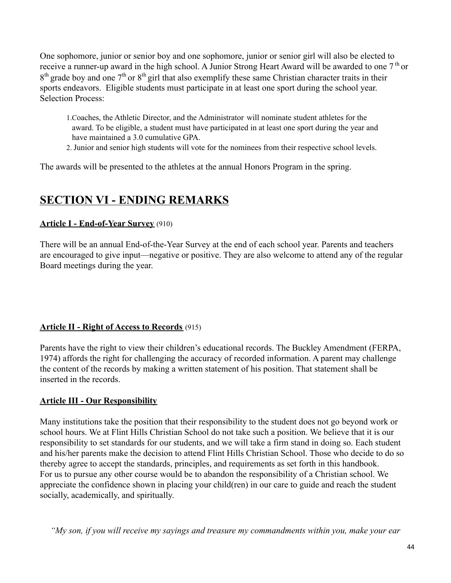One sophomore, junior or senior boy and one sophomore, junior or senior girl will also be elected to receive a runner-up award in the high school. A Junior Strong Heart Award will be awarded to one  $7<sup>th</sup>$  or  $8<sup>th</sup>$  grade boy and one 7<sup>th</sup> or  $8<sup>th</sup>$  girl that also exemplify these same Christian character traits in their sports endeavors. Eligible students must participate in at least one sport during the school year. Selection Process:

- 1.Coaches, the Athletic Director, and the Administrator will nominate student athletes for the award. To be eligible, a student must have participated in at least one sport during the year and have maintained a 3.0 cumulative GPA.
- 2. Junior and senior high students will vote for the nominees from their respective school levels.

The awards will be presented to the athletes at the annual Honors Program in the spring.

# **SECTION VI - ENDING REMARKS**

#### **Article I - End-of-Year Survey** (910)

There will be an annual End-of-the-Year Survey at the end of each school year. Parents and teachers are encouraged to give input—negative or positive. They are also welcome to attend any of the regular Board meetings during the year.

### **Article II - Right of Access to Records** (915)

Parents have the right to view their children's educational records. The Buckley Amendment (FERPA, 1974) affords the right for challenging the accuracy of recorded information. A parent may challenge the content of the records by making a written statement of his position. That statement shall be inserted in the records.

### <span id="page-43-0"></span>**Article III - Our Responsibility**

Many institutions take the position that their responsibility to the student does not go beyond work or school hours. We at Flint Hills Christian School do not take such a position. We believe that it is our responsibility to set standards for our students, and we will take a firm stand in doing so. Each student and his/her parents make the decision to attend Flint Hills Christian School. Those who decide to do so thereby agree to accept the standards, principles, and requirements as set forth in this handbook. For us to pursue any other course would be to abandon the responsibility of a Christian school. We appreciate the confidence shown in placing your child(ren) in our care to guide and reach the student socially, academically, and spiritually.

*"My son, if you will receive my sayings and treasure my commandments within you, make your ear*